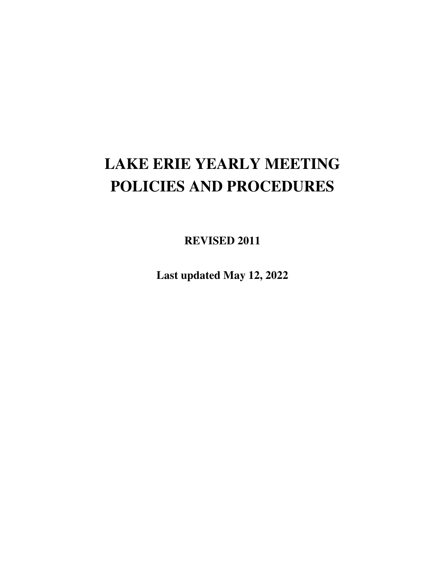# **LAKE ERIE YEARLY MEETING POLICIES AND PROCEDURES**

**REVISED 2011** 

**Last updated May 12, 2022**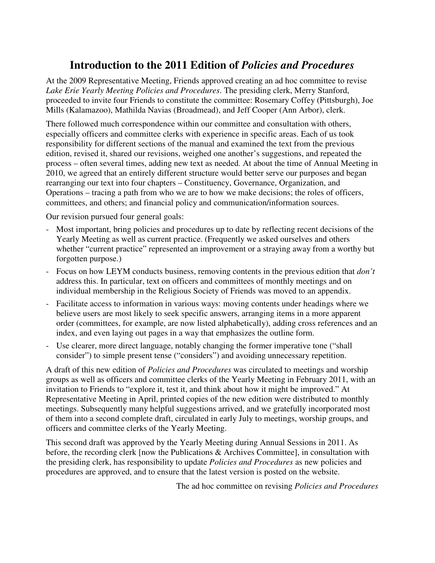# **Introduction to the 2011 Edition of** *Policies and Procedures*

At the 2009 Representative Meeting, Friends approved creating an ad hoc committee to revise *Lake Erie Yearly Meeting Policies and Procedures*. The presiding clerk, Merry Stanford, proceeded to invite four Friends to constitute the committee: Rosemary Coffey (Pittsburgh), Joe Mills (Kalamazoo), Mathilda Navias (Broadmead), and Jeff Cooper (Ann Arbor), clerk.

There followed much correspondence within our committee and consultation with others, especially officers and committee clerks with experience in specific areas. Each of us took responsibility for different sections of the manual and examined the text from the previous edition, revised it, shared our revisions, weighed one another's suggestions, and repeated the process – often several times, adding new text as needed. At about the time of Annual Meeting in 2010, we agreed that an entirely different structure would better serve our purposes and began rearranging our text into four chapters – Constituency, Governance, Organization, and Operations – tracing a path from who we are to how we make decisions; the roles of officers, committees, and others; and financial policy and communication/information sources.

Our revision pursued four general goals:

- Most important, bring policies and procedures up to date by reflecting recent decisions of the Yearly Meeting as well as current practice. (Frequently we asked ourselves and others whether "current practice" represented an improvement or a straying away from a worthy but forgotten purpose.)
- Focus on how LEYM conducts business, removing contents in the previous edition that *don't* address this. In particular, text on officers and committees of monthly meetings and on individual membership in the Religious Society of Friends was moved to an appendix.
- Facilitate access to information in various ways: moving contents under headings where we believe users are most likely to seek specific answers, arranging items in a more apparent order (committees, for example, are now listed alphabetically), adding cross references and an index, and even laying out pages in a way that emphasizes the outline form.
- Use clearer, more direct language, notably changing the former imperative tone ("shall consider") to simple present tense ("considers") and avoiding unnecessary repetition.

A draft of this new edition of *Policies and Procedures* was circulated to meetings and worship groups as well as officers and committee clerks of the Yearly Meeting in February 2011, with an invitation to Friends to "explore it, test it, and think about how it might be improved." At Representative Meeting in April, printed copies of the new edition were distributed to monthly meetings. Subsequently many helpful suggestions arrived, and we gratefully incorporated most of them into a second complete draft, circulated in early July to meetings, worship groups, and officers and committee clerks of the Yearly Meeting.

This second draft was approved by the Yearly Meeting during Annual Sessions in 2011. As before, the recording clerk [now the Publications & Archives Committee], in consultation with the presiding clerk, has responsibility to update *Policies and Procedures* as new policies and procedures are approved, and to ensure that the latest version is posted on the website.

The ad hoc committee on revising *Policies and Procedures*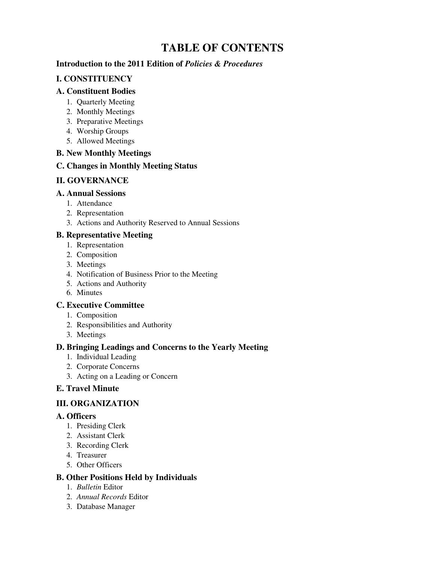# **TABLE OF CONTENTS**

#### **Introduction to the 2011 Edition of** *Policies & Procedures*

#### **I. CONSTITUENCY**

#### **A. Constituent Bodies**

- 1. Quarterly Meeting
- 2. Monthly Meetings
- 3. Preparative Meetings
- 4. Worship Groups
- 5. Allowed Meetings

#### **B. New Monthly Meetings**

#### **C. Changes in Monthly Meeting Status**

#### **II. GOVERNANCE**

#### **A. Annual Sessions**

- 1. Attendance
- 2. Representation
- 3. Actions and Authority Reserved to Annual Sessions

#### **B. Representative Meeting**

- 1. Representation
- 2. Composition
- 3. Meetings
- 4. Notification of Business Prior to the Meeting
- 5. Actions and Authority
- 6. Minutes

#### **C. Executive Committee**

- 1. Composition
- 2. Responsibilities and Authority
- 3. Meetings

#### **D. Bringing Leadings and Concerns to the Yearly Meeting**

- 1. Individual Leading
- 2. Corporate Concerns
- 3. Acting on a Leading or Concern

#### **E. Travel Minute**

#### **III. ORGANIZATION**

#### **A. Officers**

- 1. Presiding Clerk
- 2. Assistant Clerk
- 3. Recording Clerk
- 4. Treasurer
- 5. Other Officers

#### **B. Other Positions Held by Individuals**

- 1. *Bulletin* Editor
- 2. *Annual Records* Editor
- 3. Database Manager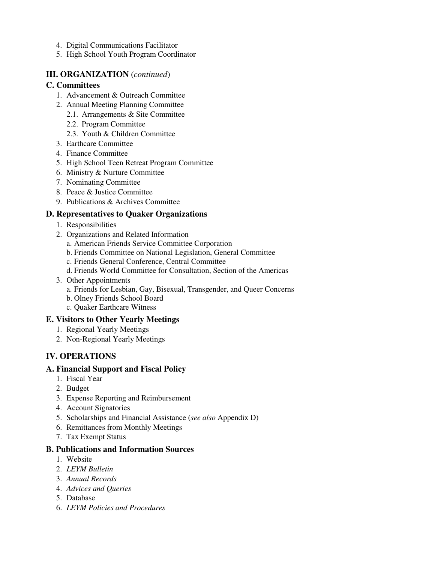- 4. Digital Communications Facilitator
- 5. High School Youth Program Coordinator

#### **III. ORGANIZATION** (*continued*)

#### **C. Committees**

- 1. Advancement & Outreach Committee
- 2. Annual Meeting Planning Committee
	- 2.1. Arrangements & Site Committee
		- 2.2. Program Committee
		- 2.3. Youth & Children Committee
- 3. Earthcare Committee
- 4. Finance Committee
- 5. High School Teen Retreat Program Committee
- 6. Ministry & Nurture Committee
- 7. Nominating Committee
- 8. Peace & Justice Committee
- 9. Publications & Archives Committee

#### **D. Representatives to Quaker Organizations**

- 1. Responsibilities
- 2. Organizations and Related Information
	- a. American Friends Service Committee Corporation
	- b. Friends Committee on National Legislation, General Committee
	- c. Friends General Conference, Central Committee
	- d. Friends World Committee for Consultation, Section of the Americas
- 3. Other Appointments
	- a. Friends for Lesbian, Gay, Bisexual, Transgender, and Queer Concerns
	- b. Olney Friends School Board
	- c. Quaker Earthcare Witness

#### **E. Visitors to Other Yearly Meetings**

- 1. Regional Yearly Meetings
- 2. Non-Regional Yearly Meetings

#### **IV. OPERATIONS**

#### **A. Financial Support and Fiscal Policy**

- 1. Fiscal Year
- 2. Budget
- 3. Expense Reporting and Reimbursement
- 4. Account Signatories
- 5. Scholarships and Financial Assistance (*see also* Appendix D)
- 6. Remittances from Monthly Meetings
- 7. Tax Exempt Status

#### **B. Publications and Information Sources**

- 1. Website
- 2. *LEYM Bulletin*
- 3.*Annual Records*
- 4.*Advices and Queries*
- 5.Database
- 6.*LEYM Policies and Procedures*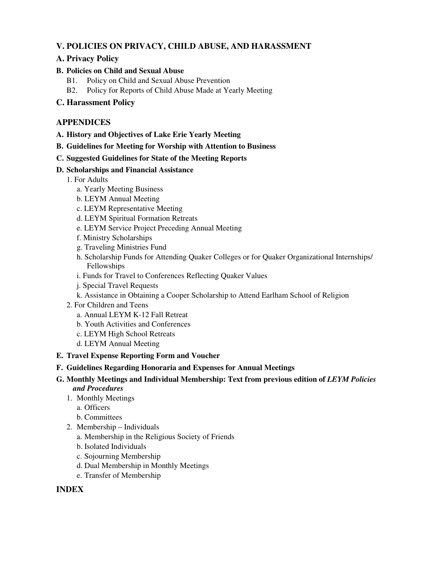#### **V. POLICIES ON PRIVACY, CHILD ABUSE, AND HARASSMENT**

#### **A. Privacy Policy**

#### **B. Policies on Child and Sexual Abuse**

- B1. Policy on Child and Sexual Abuse Prevention
- B2. Policy for Reports of Child Abuse Made at Yearly Meeting

#### **C. Harassment Policy**

#### **APPENDICES**

- **A. History and Objectives of Lake Erie Yearly Meeting**
- **B. Guidelines for Meeting for Worship with Attention to Business**
- **C. Suggested Guidelines for State of the Meeting Reports**

#### **D. Scholarships and Financial Assistance**

- 1. For Adults
	- a. Yearly Meeting Business
	- b. LEYM Annual Meeting
	- c. LEYM Representative Meeting
	- d. LEYM Spiritual Formation Retreats
	- e. LEYM Service Project Preceding Annual Meeting
	- f. Ministry Scholarships
	- g. Traveling Ministries Fund
	- h. Scholarship Funds for Attending Quaker Colleges or for Quaker Organizational Internships/ Fellowships
	- i. Funds for Travel to Conferences Reflecting Quaker Values
	- j. Special Travel Requests
	- k. Assistance in Obtaining a Cooper Scholarship to Attend Earlham School of Religion
- 2. For Children and Teens
	- a. Annual LEYM K-12 Fall Retreat
	- b. Youth Activities and Conferences
	- c. LEYM High School Retreats
	- d. LEYM Annual Meeting

#### **E. Travel Expense Reporting Form and Voucher**

- **F. Guidelines Regarding Honoraria and Expenses for Annual Meetings**
- G. Monthly Meetings and Individual Membership: Text from previous edition of *LEYM Policies and Procedures*
	- 1. Monthly Meetings
		- a. Officers
		- b. Committees
	- 2. Membership Individuals
		- a. Membership in the Religious Society of Friends
		- b. Isolated Individuals
		- c. Sojourning Membership
		- d. Dual Membership in Monthly Meetings
		- e. Transfer of Membership

#### **INDEX**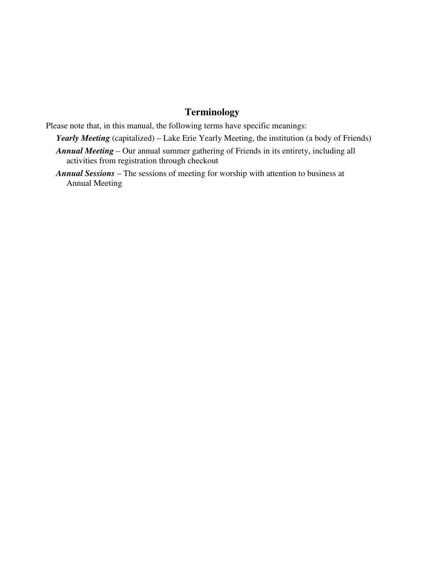# **Terminology**

Please note that, in this manual, the following terms have specific meanings:

- *Yearly Meeting* (capitalized) Lake Erie Yearly Meeting, the institution (a body of Friends)
- *Annual Meeting* Our annual summer gathering of Friends in its entirety, including all activities from registration through checkout
- *Annual Sessions* The sessions of meeting for worship with attention to business at Annual Meeting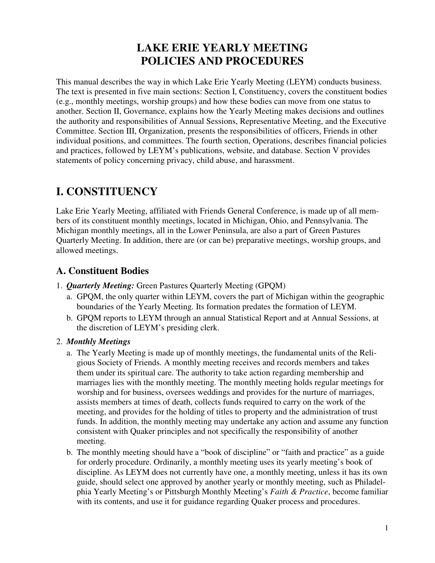# **LAKE ERIE YEARLY MEETING POLICIES AND PROCEDURES**

This manual describes the way in which Lake Erie Yearly Meeting (LEYM) conducts business. The text is presented in five main sections: Section I, Constituency, covers the constituent bodies (e.g., monthly meetings, worship groups) and how these bodies can move from one status to another. Section II, Governance, explains how the Yearly Meeting makes decisions and outlines the authority and responsibilities of Annual Sessions, Representative Meeting, and the Executive Committee. Section III, Organization, presents the responsibilities of officers, Friends in other individual positions, and committees. The fourth section, Operations, describes financial policies and practices, followed by LEYM's publications, website, and database. Section V provides statements of policy concerning privacy, child abuse, and harassment.

# **I. CONSTITUENCY**

Lake Erie Yearly Meeting, affiliated with Friends General Conference, is made up of all members of its constituent monthly meetings, located in Michigan, Ohio, and Pennsylvania. The Michigan monthly meetings, all in the Lower Peninsula, are also a part of Green Pastures Quarterly Meeting. In addition, there are (or can be) preparative meetings, worship groups, and allowed meetings.

# **A. Constituent Bodies**

- 1. *Quarterly Meeting:* Green Pastures Quarterly Meeting (GPQM)
	- a. GPQM, the only quarter within LEYM, covers the part of Michigan within the geographic boundaries of the Yearly Meeting. Its formation predates the formation of LEYM.
	- b. GPQM reports to LEYM through an annual Statistical Report and at Annual Sessions, at the discretion of LEYM's presiding clerk.

#### 2. *Monthly Meetings*

- a. The Yearly Meeting is made up of monthly meetings, the fundamental units of the Religious Society of Friends. A monthly meeting receives and records members and takes them under its spiritual care. The authority to take action regarding membership and marriages lies with the monthly meeting. The monthly meeting holds regular meetings for worship and for business, oversees weddings and provides for the nurture of marriages, assists members at times of death, collects funds required to carry on the work of the meeting, and provides for the holding of titles to property and the administration of trust funds. In addition, the monthly meeting may undertake any action and assume any function consistent with Quaker principles and not specifically the responsibility of another meeting.
- b. The monthly meeting should have a "book of discipline" or "faith and practice" as a guide for orderly procedure. Ordinarily, a monthly meeting uses its yearly meeting's book of discipline. As LEYM does not currently have one, a monthly meeting, unless it has its own guide, should select one approved by another yearly or monthly meeting, such as Philadelphia Yearly Meeting's or Pittsburgh Monthly Meeting's *Faith & Practice*, become familiar with its contents, and use it for guidance regarding Quaker process and procedures.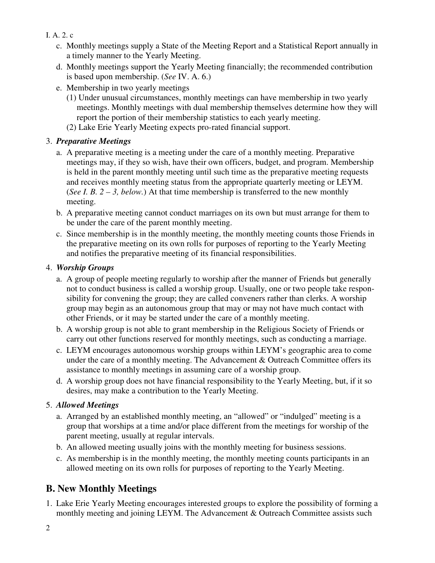- I. A. 2. c
	- c. Monthly meetings supply a State of the Meeting Report and a Statistical Report annually in a timely manner to the Yearly Meeting.
	- d. Monthly meetings support the Yearly Meeting financially; the recommended contribution is based upon membership. (*See* IV. A. 6.)
	- e. Membership in two yearly meetings
		- (1) Under unusual circumstances, monthly meetings can have membership in two yearly meetings. Monthly meetings with dual membership themselves determine how they will report the portion of their membership statistics to each yearly meeting.
		- (2) Lake Erie Yearly Meeting expects pro-rated financial support.

### 3. *Preparative Meetings*

- a. A preparative meeting is a meeting under the care of a monthly meeting. Preparative meetings may, if they so wish, have their own officers, budget, and program. Membership is held in the parent monthly meeting until such time as the preparative meeting requests and receives monthly meeting status from the appropriate quarterly meeting or LEYM. (*See I. B. 2 – 3, below.*) At that time membership is transferred to the new monthly meeting.
- b. A preparative meeting cannot conduct marriages on its own but must arrange for them to be under the care of the parent monthly meeting.
- c. Since membership is in the monthly meeting, the monthly meeting counts those Friends in the preparative meeting on its own rolls for purposes of reporting to the Yearly Meeting and notifies the preparative meeting of its financial responsibilities.

### 4. *Worship Groups*

- a. A group of people meeting regularly to worship after the manner of Friends but generally not to conduct business is called a worship group. Usually, one or two people take responsibility for convening the group; they are called conveners rather than clerks. A worship group may begin as an autonomous group that may or may not have much contact with other Friends, or it may be started under the care of a monthly meeting.
- b. A worship group is not able to grant membership in the Religious Society of Friends or carry out other functions reserved for monthly meetings, such as conducting a marriage.
- c. LEYM encourages autonomous worship groups within LEYM's geographic area to come under the care of a monthly meeting. The Advancement  $&$  Outreach Committee offers its assistance to monthly meetings in assuming care of a worship group.
- d. A worship group does not have financial responsibility to the Yearly Meeting, but, if it so desires, may make a contribution to the Yearly Meeting.

### 5. *Allowed Meetings*

- a. Arranged by an established monthly meeting, an "allowed" or "indulged" meeting is a group that worships at a time and/or place different from the meetings for worship of the parent meeting, usually at regular intervals.
- b. An allowed meeting usually joins with the monthly meeting for business sessions.
- c. As membership is in the monthly meeting, the monthly meeting counts participants in an allowed meeting on its own rolls for purposes of reporting to the Yearly Meeting.

# **B. New Monthly Meetings**

1. Lake Erie Yearly Meeting encourages interested groups to explore the possibility of forming a monthly meeting and joining LEYM. The Advancement & Outreach Committee assists such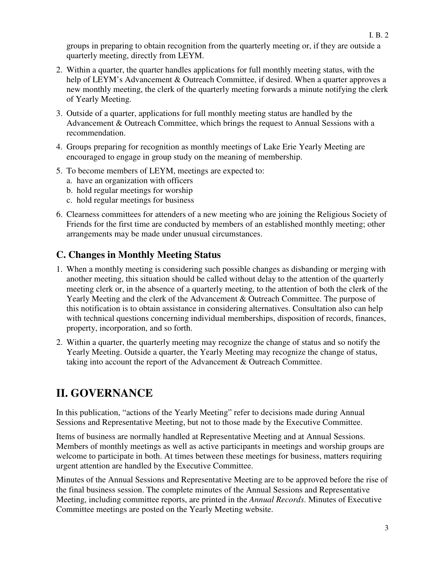groups in preparing to obtain recognition from the quarterly meeting or, if they are outside a quarterly meeting, directly from LEYM.

- 2. Within a quarter, the quarter handles applications for full monthly meeting status, with the help of LEYM's Advancement & Outreach Committee, if desired. When a quarter approves a new monthly meeting, the clerk of the quarterly meeting forwards a minute notifying the clerk of Yearly Meeting.
- 3. Outside of a quarter, applications for full monthly meeting status are handled by the Advancement & Outreach Committee, which brings the request to Annual Sessions with a recommendation.
- 4. Groups preparing for recognition as monthly meetings of Lake Erie Yearly Meeting are encouraged to engage in group study on the meaning of membership.
- 5. To become members of LEYM, meetings are expected to:
	- a. have an organization with officers
	- b. hold regular meetings for worship
	- c. hold regular meetings for business
- 6. Clearness committees for attenders of a new meeting who are joining the Religious Society of Friends for the first time are conducted by members of an established monthly meeting; other arrangements may be made under unusual circumstances.

# **C. Changes in Monthly Meeting Status**

- 1. When a monthly meeting is considering such possible changes as disbanding or merging with another meeting, this situation should be called without delay to the attention of the quarterly meeting clerk or, in the absence of a quarterly meeting, to the attention of both the clerk of the Yearly Meeting and the clerk of the Advancement & Outreach Committee. The purpose of this notification is to obtain assistance in considering alternatives. Consultation also can help with technical questions concerning individual memberships, disposition of records, finances, property, incorporation, and so forth.
- 2. Within a quarter, the quarterly meeting may recognize the change of status and so notify the Yearly Meeting. Outside a quarter, the Yearly Meeting may recognize the change of status, taking into account the report of the Advancement & Outreach Committee.

# **II. GOVERNANCE**

In this publication, "actions of the Yearly Meeting" refer to decisions made during Annual Sessions and Representative Meeting, but not to those made by the Executive Committee.

Items of business are normally handled at Representative Meeting and at Annual Sessions. Members of monthly meetings as well as active participants in meetings and worship groups are welcome to participate in both. At times between these meetings for business, matters requiring urgent attention are handled by the Executive Committee.

Minutes of the Annual Sessions and Representative Meeting are to be approved before the rise of the final business session. The complete minutes of the Annual Sessions and Representative Meeting, including committee reports, are printed in the *Annual Records*. Minutes of Executive Committee meetings are posted on the Yearly Meeting website.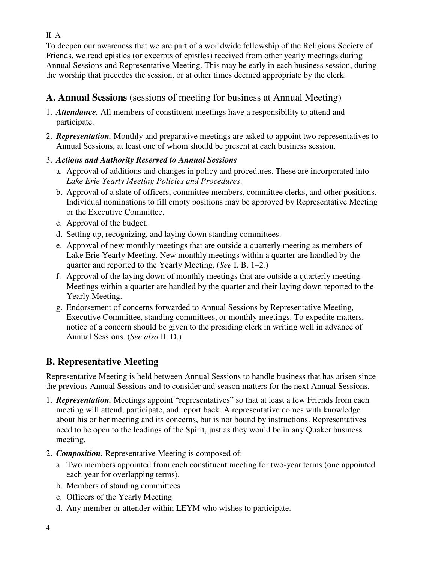II. A

To deepen our awareness that we are part of a worldwide fellowship of the Religious Society of Friends, we read epistles (or excerpts of epistles) received from other yearly meetings during Annual Sessions and Representative Meeting. This may be early in each business session, during the worship that precedes the session, or at other times deemed appropriate by the clerk.

# **A. Annual Sessions** (sessions of meeting for business at Annual Meeting)

- 1. *Attendance.* All members of constituent meetings have a responsibility to attend and participate.
- 2. *Representation.* Monthly and preparative meetings are asked to appoint two representatives to Annual Sessions, at least one of whom should be present at each business session.
- 3. *Actions and Authority Reserved to Annual Sessions*
	- a. Approval of additions and changes in policy and procedures. These are incorporated into *Lake Erie Yearly Meeting Policies and Procedures*.
	- b. Approval of a slate of officers, committee members, committee clerks, and other positions. Individual nominations to fill empty positions may be approved by Representative Meeting or the Executive Committee.
	- c. Approval of the budget.
	- d. Setting up, recognizing, and laying down standing committees.
	- e. Approval of new monthly meetings that are outside a quarterly meeting as members of Lake Erie Yearly Meeting. New monthly meetings within a quarter are handled by the quarter and reported to the Yearly Meeting. (*See* I. B. 1–2*.*)
	- f. Approval of the laying down of monthly meetings that are outside a quarterly meeting. Meetings within a quarter are handled by the quarter and their laying down reported to the Yearly Meeting.
	- g. Endorsement of concerns forwarded to Annual Sessions by Representative Meeting, Executive Committee, standing committees, or monthly meetings. To expedite matters, notice of a concern should be given to the presiding clerk in writing well in advance of Annual Sessions. (*See also* II. D.)

# **B. Representative Meeting**

Representative Meeting is held between Annual Sessions to handle business that has arisen since the previous Annual Sessions and to consider and season matters for the next Annual Sessions.

- 1. *Representation.* Meetings appoint "representatives" so that at least a few Friends from each meeting will attend, participate, and report back. A representative comes with knowledge about his or her meeting and its concerns, but is not bound by instructions. Representatives need to be open to the leadings of the Spirit, just as they would be in any Quaker business meeting.
- 2. *Composition.* Representative Meeting is composed of:
	- a. Two members appointed from each constituent meeting for two-year terms (one appointed each year for overlapping terms).
	- b. Members of standing committees
	- c. Officers of the Yearly Meeting
	- d. Any member or attender within LEYM who wishes to participate.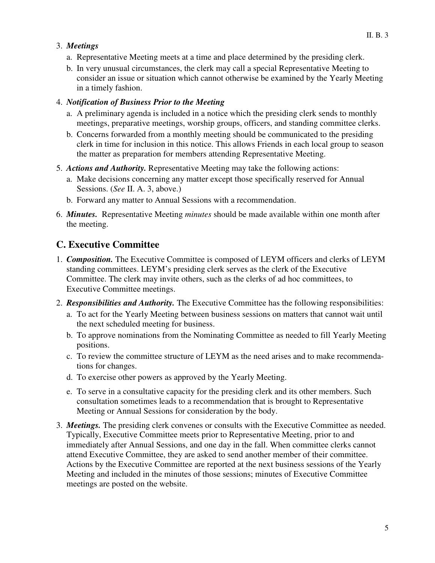#### 3. *Meetings*

- a. Representative Meeting meets at a time and place determined by the presiding clerk.
- b. In very unusual circumstances, the clerk may call a special Representative Meeting to consider an issue or situation which cannot otherwise be examined by the Yearly Meeting in a timely fashion.

#### 4. *Notification of Business Prior to the Meeting*

- a. A preliminary agenda is included in a notice which the presiding clerk sends to monthly meetings, preparative meetings, worship groups, officers, and standing committee clerks.
- b. Concerns forwarded from a monthly meeting should be communicated to the presiding clerk in time for inclusion in this notice. This allows Friends in each local group to season the matter as preparation for members attending Representative Meeting.
- 5. *Actions and Authority.* Representative Meeting may take the following actions:
	- a. Make decisions concerning any matter except those specifically reserved for Annual Sessions. (*See* II. A. 3, above.)
	- b. Forward any matter to Annual Sessions with a recommendation.
- 6. *Minutes.* Representative Meeting *minutes* should be made available within one month after the meeting.

#### **C. Executive Committee**

- 1. *Composition.* The Executive Committee is composed of LEYM officers and clerks of LEYM standing committees. LEYM's presiding clerk serves as the clerk of the Executive Committee. The clerk may invite others, such as the clerks of ad hoc committees, to Executive Committee meetings.
- 2. *Responsibilities and Authority.* The Executive Committee has the following responsibilities:
	- a. To act for the Yearly Meeting between business sessions on matters that cannot wait until the next scheduled meeting for business.
	- b. To approve nominations from the Nominating Committee as needed to fill Yearly Meeting positions.
	- c. To review the committee structure of LEYM as the need arises and to make recommendations for changes.
	- d. To exercise other powers as approved by the Yearly Meeting.
	- e. To serve in a consultative capacity for the presiding clerk and its other members. Such consultation sometimes leads to a recommendation that is brought to Representative Meeting or Annual Sessions for consideration by the body.
- 3. *Meetings.* The presiding clerk convenes or consults with the Executive Committee as needed. Typically, Executive Committee meets prior to Representative Meeting, prior to and immediately after Annual Sessions, and one day in the fall. When committee clerks cannot attend Executive Committee, they are asked to send another member of their committee. Actions by the Executive Committee are reported at the next business sessions of the Yearly Meeting and included in the minutes of those sessions; minutes of Executive Committee meetings are posted on the website.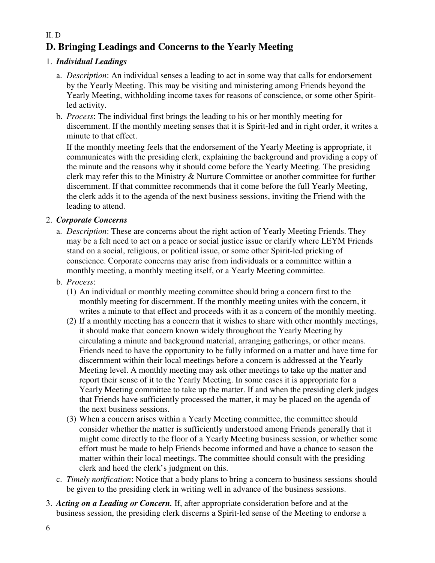# **D. Bringing Leadings and Concerns to the Yearly Meeting**

#### 1. *Individual Leadings*

- a. *Description*: An individual senses a leading to act in some way that calls for endorsement by the Yearly Meeting. This may be visiting and ministering among Friends beyond the Yearly Meeting, withholding income taxes for reasons of conscience, or some other Spiritled activity.
- b. *Process*: The individual first brings the leading to his or her monthly meeting for discernment. If the monthly meeting senses that it is Spirit-led and in right order, it writes a minute to that effect.

 If the monthly meeting feels that the endorsement of the Yearly Meeting is appropriate, it communicates with the presiding clerk, explaining the background and providing a copy of the minute and the reasons why it should come before the Yearly Meeting. The presiding clerk may refer this to the Ministry & Nurture Committee or another committee for further discernment. If that committee recommends that it come before the full Yearly Meeting, the clerk adds it to the agenda of the next business sessions, inviting the Friend with the leading to attend.

#### 2. *Corporate Concerns*

- a. *Description*: These are concerns about the right action of Yearly Meeting Friends. They may be a felt need to act on a peace or social justice issue or clarify where LEYM Friends stand on a social, religious, or political issue, or some other Spirit-led pricking of conscience. Corporate concerns may arise from individuals or a committee within a monthly meeting, a monthly meeting itself, or a Yearly Meeting committee.
- b. *Process*:
	- (1) An individual or monthly meeting committee should bring a concern first to the monthly meeting for discernment. If the monthly meeting unites with the concern, it writes a minute to that effect and proceeds with it as a concern of the monthly meeting.
	- (2) If a monthly meeting has a concern that it wishes to share with other monthly meetings, it should make that concern known widely throughout the Yearly Meeting by circulating a minute and background material, arranging gatherings, or other means. Friends need to have the opportunity to be fully informed on a matter and have time for discernment within their local meetings before a concern is addressed at the Yearly Meeting level. A monthly meeting may ask other meetings to take up the matter and report their sense of it to the Yearly Meeting. In some cases it is appropriate for a Yearly Meeting committee to take up the matter. If and when the presiding clerk judges that Friends have sufficiently processed the matter, it may be placed on the agenda of the next business sessions.
	- (3) When a concern arises within a Yearly Meeting committee, the committee should consider whether the matter is sufficiently understood among Friends generally that it might come directly to the floor of a Yearly Meeting business session, or whether some effort must be made to help Friends become informed and have a chance to season the matter within their local meetings. The committee should consult with the presiding clerk and heed the clerk's judgment on this.
- c. *Timely notification*: Notice that a body plans to bring a concern to business sessions should be given to the presiding clerk in writing well in advance of the business sessions.
- 3. *Acting on a Leading or Concern.* If, after appropriate consideration before and at the business session, the presiding clerk discerns a Spirit-led sense of the Meeting to endorse a

6

#### II. D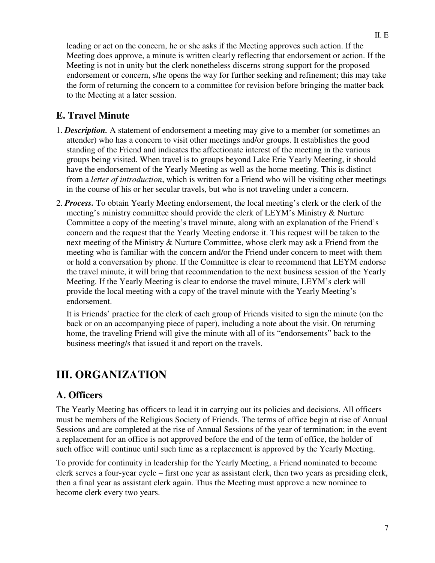leading or act on the concern, he or she asks if the Meeting approves such action. If the Meeting does approve, a minute is written clearly reflecting that endorsement or action. If the Meeting is not in unity but the clerk nonetheless discerns strong support for the proposed endorsement or concern, s/he opens the way for further seeking and refinement; this may take the form of returning the concern to a committee for revision before bringing the matter back to the Meeting at a later session.

# **E. Travel Minute**

- 1. *Description.* A statement of endorsement a meeting may give to a member (or sometimes an attender) who has a concern to visit other meetings and/or groups. It establishes the good standing of the Friend and indicates the affectionate interest of the meeting in the various groups being visited. When travel is to groups beyond Lake Erie Yearly Meeting, it should have the endorsement of the Yearly Meeting as well as the home meeting. This is distinct from a *letter of introduction*, which is written for a Friend who will be visiting other meetings in the course of his or her secular travels, but who is not traveling under a concern.
- 2. *Process.* To obtain Yearly Meeting endorsement, the local meeting's clerk or the clerk of the meeting's ministry committee should provide the clerk of LEYM's Ministry & Nurture Committee a copy of the meeting's travel minute, along with an explanation of the Friend's concern and the request that the Yearly Meeting endorse it. This request will be taken to the next meeting of the Ministry & Nurture Committee, whose clerk may ask a Friend from the meeting who is familiar with the concern and/or the Friend under concern to meet with them or hold a conversation by phone. If the Committee is clear to recommend that LEYM endorse the travel minute, it will bring that recommendation to the next business session of the Yearly Meeting. If the Yearly Meeting is clear to endorse the travel minute, LEYM's clerk will provide the local meeting with a copy of the travel minute with the Yearly Meeting's endorsement.

It is Friends' practice for the clerk of each group of Friends visited to sign the minute (on the back or on an accompanying piece of paper), including a note about the visit. On returning home, the traveling Friend will give the minute with all of its "endorsements" back to the business meeting/s that issued it and report on the travels.

# **III. ORGANIZATION**

#### **A. Officers**

The Yearly Meeting has officers to lead it in carrying out its policies and decisions. All officers must be members of the Religious Society of Friends. The terms of office begin at rise of Annual Sessions and are completed at the rise of Annual Sessions of the year of termination; in the event a replacement for an office is not approved before the end of the term of office, the holder of such office will continue until such time as a replacement is approved by the Yearly Meeting.

To provide for continuity in leadership for the Yearly Meeting, a Friend nominated to become clerk serves a four-year cycle – first one year as assistant clerk, then two years as presiding clerk, then a final year as assistant clerk again. Thus the Meeting must approve a new nominee to become clerk every two years.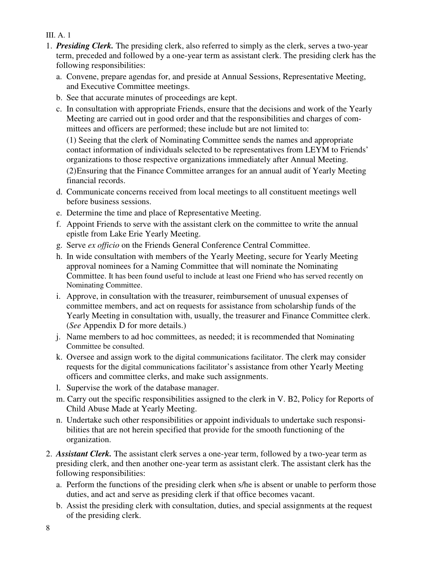#### III. A. 1

- 1. *Presiding Clerk.* The presiding clerk, also referred to simply as the clerk, serves a two-year term, preceded and followed by a one-year term as assistant clerk. The presiding clerk has the following responsibilities:
	- a. Convene, prepare agendas for, and preside at Annual Sessions, Representative Meeting, and Executive Committee meetings.
	- b. See that accurate minutes of proceedings are kept.
	- c. In consultation with appropriate Friends, ensure that the decisions and work of the Yearly Meeting are carried out in good order and that the responsibilities and charges of committees and officers are performed; these include but are not limited to:

 (1) Seeing that the clerk of Nominating Committee sends the names and appropriate contact information of individuals selected to be representatives from LEYM to Friends' organizations to those respective organizations immediately after Annual Meeting.

 (2) Ensuring that the Finance Committee arranges for an annual audit of Yearly Meeting financial records.

- d. Communicate concerns received from local meetings to all constituent meetings well before business sessions.
- e. Determine the time and place of Representative Meeting.
- f. Appoint Friends to serve with the assistant clerk on the committee to write the annual epistle from Lake Erie Yearly Meeting.
- g. Serve *ex officio* on the Friends General Conference Central Committee.
- h. In wide consultation with members of the Yearly Meeting, secure for Yearly Meeting approval nominees for a Naming Committee that will nominate the Nominating Committee. It has been found useful to include at least one Friend who has served recently on Nominating Committee.
- i. Approve, in consultation with the treasurer, reimbursement of unusual expenses of committee members, and act on requests for assistance from scholarship funds of the Yearly Meeting in consultation with, usually, the treasurer and Finance Committee clerk. (*See* Appendix D for more details.)
- j. Name members to ad hoc committees, as needed; it is recommended that Nominating Committee be consulted.
- k. Oversee and assign work to the digital communications facilitator. The clerk may consider requests for the digital communications facilitator's assistance from other Yearly Meeting officers and committee clerks, and make such assignments.
- l. Supervise the work of the database manager.
- m. Carry out the specific responsibilities assigned to the clerk in V. B2, Policy for Reports of Child Abuse Made at Yearly Meeting.
- n. Undertake such other responsibilities or appoint individuals to undertake such responsibilities that are not herein specified that provide for the smooth functioning of the organization.
- 2. *Assistant Clerk.* The assistant clerk serves a one-year term, followed by a two-year term as presiding clerk, and then another one-year term as assistant clerk. The assistant clerk has the following responsibilities:
	- a. Perform the functions of the presiding clerk when s/he is absent or unable to perform those duties, and act and serve as presiding clerk if that office becomes vacant.
	- b. Assist the presiding clerk with consultation, duties, and special assignments at the request of the presiding clerk.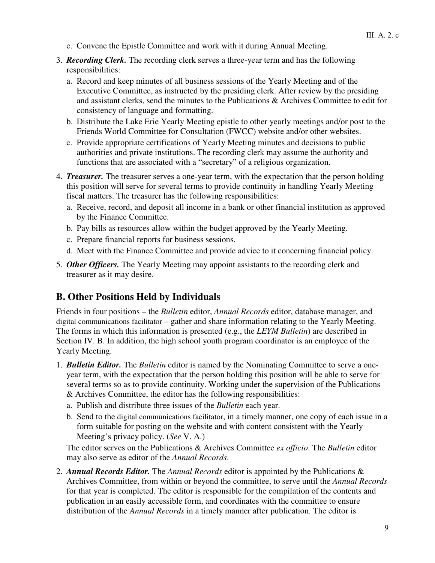- c. Convene the Epistle Committee and work with it during Annual Meeting.
- 3. *Recording Clerk.* The recording clerk serves a three-year term and has the following responsibilities:
	- a. Record and keep minutes of all business sessions of the Yearly Meeting and of the Executive Committee, as instructed by the presiding clerk. After review by the presiding and assistant clerks, send the minutes to the Publications & Archives Committee to edit for consistency of language and formatting.
	- b. Distribute the Lake Erie Yearly Meeting epistle to other yearly meetings and/or post to the Friends World Committee for Consultation (FWCC) website and/or other websites.
	- c. Provide appropriate certifications of Yearly Meeting minutes and decisions to public authorities and private institutions. The recording clerk may assume the authority and functions that are associated with a "secretary" of a religious organization.
- 4. *Treasurer.* The treasurer serves a one-year term, with the expectation that the person holding this position will serve for several terms to provide continuity in handling Yearly Meeting fiscal matters. The treasurer has the following responsibilities:
	- a. Receive, record, and deposit all income in a bank or other financial institution as approved by the Finance Committee.
	- b. Pay bills as resources allow within the budget approved by the Yearly Meeting.
	- c. Prepare financial reports for business sessions.
	- d. Meet with the Finance Committee and provide advice to it concerning financial policy.
- 5. *Other Officers.* The Yearly Meeting may appoint assistants to the recording clerk and treasurer as it may desire.

### **B. Other Positions Held by Individuals**

Friends in four positions – the *Bulletin* editor, *Annual Records* editor, database manager, and digital communications facilitator – gather and share information relating to the Yearly Meeting. The forms in which this information is presented (e.g., the *LEYM Bulletin*) are described in Section IV. B. In addition, the high school youth program coordinator is an employee of the Yearly Meeting.

- 1. *Bulletin Editor.* The *Bulletin* editor is named by the Nominating Committee to serve a oneyear term, with the expectation that the person holding this position will be able to serve for several terms so as to provide continuity. Working under the supervision of the Publications & Archives Committee, the editor has the following responsibilities:
	- a. Publish and distribute three issues of the *Bulletin* each year.
	- b. Send to the digital communications facilitator, in a timely manner, one copy of each issue in a form suitable for posting on the website and with content consistent with the Yearly Meeting's privacy policy. (*See* V. A.)

The editor serves on the Publications & Archives Committee *ex officio*. The *Bulletin* editor may also serve as editor of the *Annual Records*.

2. *Annual Records Editor.* The *Annual Records* editor is appointed by the Publications & Archives Committee, from within or beyond the committee, to serve until the *Annual Records*  for that year is completed. The editor is responsible for the compilation of the contents and publication in an easily accessible form, and coordinates with the committee to ensure distribution of the *Annual Records* in a timely manner after publication. The editor is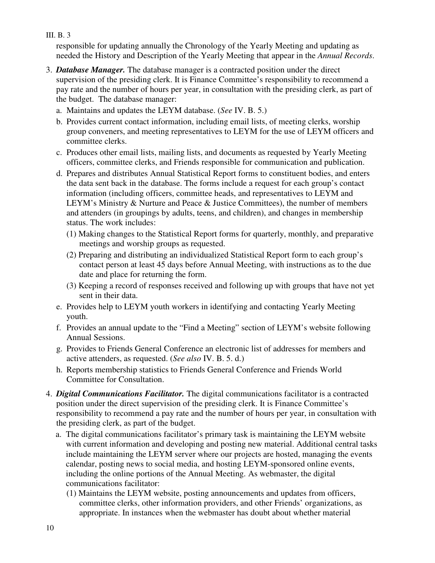responsible for updating annually the Chronology of the Yearly Meeting and updating as needed the History and Description of the Yearly Meeting that appear in the *Annual Records*.

- 3. *Database Manager.* The database manager is a contracted position under the direct supervision of the presiding clerk. It is Finance Committee's responsibility to recommend a pay rate and the number of hours per year, in consultation with the presiding clerk, as part of the budget. The database manager:
	- a. Maintains and updates the LEYM database. (*See* IV. B. 5.)
	- b. Provides current contact information, including email lists, of meeting clerks, worship group conveners, and meeting representatives to LEYM for the use of LEYM officers and committee clerks.
	- c. Produces other email lists, mailing lists, and documents as requested by Yearly Meeting officers, committee clerks, and Friends responsible for communication and publication.
	- d. Prepares and distributes Annual Statistical Report forms to constituent bodies, and enters the data sent back in the database. The forms include a request for each group's contact information (including officers, committee heads, and representatives to LEYM and LEYM's Ministry & Nurture and Peace & Justice Committees), the number of members and attenders (in groupings by adults, teens, and children), and changes in membership status. The work includes:
		- (1) Making changes to the Statistical Report forms for quarterly, monthly, and preparative meetings and worship groups as requested.
		- (2) Preparing and distributing an individualized Statistical Report form to each group's contact person at least 45 days before Annual Meeting, with instructions as to the due date and place for returning the form.
		- (3) Keeping a record of responses received and following up with groups that have not yet sent in their data.
	- e. Provides help to LEYM youth workers in identifying and contacting Yearly Meeting youth.
	- f. Provides an annual update to the "Find a Meeting" section of LEYM's website following Annual Sessions.
	- g. Provides to Friends General Conference an electronic list of addresses for members and active attenders, as requested. (*See also* IV. B. 5. d.)
	- h. Reports membership statistics to Friends General Conference and Friends World Committee for Consultation.
- 4. *Digital Communications Facilitator.* The digital communications facilitator is a contracted position under the direct supervision of the presiding clerk. It is Finance Committee's responsibility to recommend a pay rate and the number of hours per year, in consultation with the presiding clerk, as part of the budget.
	- a. The digital communications facilitator's primary task is maintaining the LEYM website with current information and developing and posting new material. Additional central tasks include maintaining the LEYM server where our projects are hosted, managing the events calendar, posting news to social media, and hosting LEYM-sponsored online events, including the online portions of the Annual Meeting. As webmaster, the digital communications facilitator:
		- (1) Maintains the LEYM website, posting announcements and updates from officers, committee clerks, other information providers, and other Friends' organizations, as appropriate. In instances when the webmaster has doubt about whether material

III. B. 3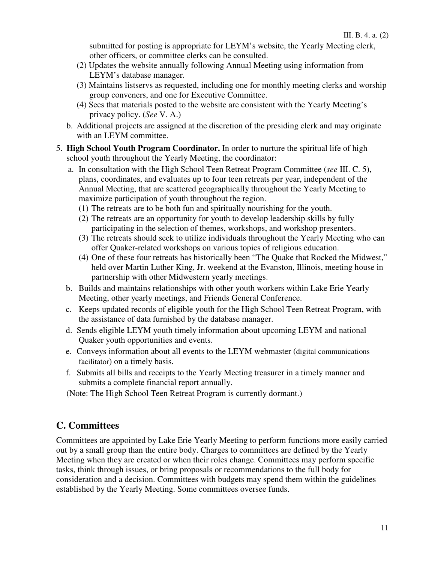submitted for posting is appropriate for LEYM's website, the Yearly Meeting clerk, other officers, or committee clerks can be consulted.

- (2) Updates the website annually following Annual Meeting using information from LEYM's database manager.
- (3) Maintains listservs as requested, including one for monthly meeting clerks and worship group conveners, and one for Executive Committee.
- (4) Sees that materials posted to the website are consistent with the Yearly Meeting's privacy policy. (*See* V. A.)
- b. Additional projects are assigned at the discretion of the presiding clerk and may originate with an LEYM committee.
- 5. **High School Youth Program Coordinator.** In order to nurture the spiritual life of high school youth throughout the Yearly Meeting, the coordinator:
	- a. In consultation with the High School Teen Retreat Program Committee (*see* III. C. 5), plans, coordinates, and evaluates up to four teen retreats per year, independent of the Annual Meeting, that are scattered geographically throughout the Yearly Meeting to maximize participation of youth throughout the region.
		- (1) The retreats are to be both fun and spiritually nourishing for the youth.
		- (2) The retreats are an opportunity for youth to develop leadership skills by fully participating in the selection of themes, workshops, and workshop presenters.
		- (3) The retreats should seek to utilize individuals throughout the Yearly Meeting who can offer Quaker-related workshops on various topics of religious education.
		- (4) One of these four retreats has historically been "The Quake that Rocked the Midwest," held over Martin Luther King, Jr. weekend at the Evanston, Illinois, meeting house in partnership with other Midwestern yearly meetings.
	- b. Builds and maintains relationships with other youth workers within Lake Erie Yearly Meeting, other yearly meetings, and Friends General Conference.
	- c. Keeps updated records of eligible youth for the High School Teen Retreat Program, with the assistance of data furnished by the database manager.
	- d. Sends eligible LEYM youth timely information about upcoming LEYM and national Quaker youth opportunities and events.
	- e. Conveys information about all events to the LEYM webmaster (digital communications facilitator) on a timely basis.
	- f. Submits all bills and receipts to the Yearly Meeting treasurer in a timely manner and submits a complete financial report annually.
	- (Note: The High School Teen Retreat Program is currently dormant.)

# **C. Committees**

Committees are appointed by Lake Erie Yearly Meeting to perform functions more easily carried out by a small group than the entire body. Charges to committees are defined by the Yearly Meeting when they are created or when their roles change. Committees may perform specific tasks, think through issues, or bring proposals or recommendations to the full body for consideration and a decision. Committees with budgets may spend them within the guidelines established by the Yearly Meeting. Some committees oversee funds.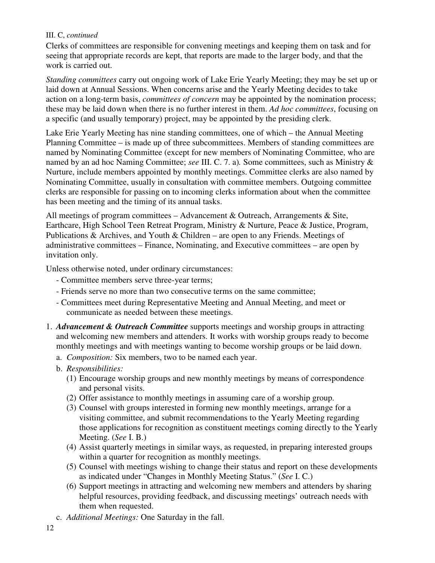#### III. C, *continued*

Clerks of committees are responsible for convening meetings and keeping them on task and for seeing that appropriate records are kept, that reports are made to the larger body, and that the work is carried out.

*Standing committees* carry out ongoing work of Lake Erie Yearly Meeting; they may be set up or laid down at Annual Sessions. When concerns arise and the Yearly Meeting decides to take action on a long-term basis, *committees of concern* may be appointed by the nomination process; these may be laid down when there is no further interest in them. *Ad hoc committees*, focusing on a specific (and usually temporary) project, may be appointed by the presiding clerk.

Lake Erie Yearly Meeting has nine standing committees, one of which – the Annual Meeting Planning Committee – is made up of three subcommittees. Members of standing committees are named by Nominating Committee (except for new members of Nominating Committee, who are named by an ad hoc Naming Committee; *see* III. C. 7. a)*.* Some committees, such as Ministry & Nurture, include members appointed by monthly meetings. Committee clerks are also named by Nominating Committee, usually in consultation with committee members. Outgoing committee clerks are responsible for passing on to incoming clerks information about when the committee has been meeting and the timing of its annual tasks.

All meetings of program committees – Advancement & Outreach, Arrangements & Site, Earthcare, High School Teen Retreat Program, Ministry & Nurture, Peace & Justice, Program, Publications & Archives, and Youth & Children – are open to any Friends. Meetings of administrative committees – Finance, Nominating, and Executive committees – are open by invitation only.

Unless otherwise noted, under ordinary circumstances:

- Committee members serve three-year terms;
- Friends serve no more than two consecutive terms on the same committee;
- Committees meet during Representative Meeting and Annual Meeting, and meet or communicate as needed between these meetings.
- 1. *Advancement & Outreach Committee* supports meetings and worship groups in attracting and welcoming new members and attenders. It works with worship groups ready to become monthly meetings and with meetings wanting to become worship groups or be laid down.
	- a. *Composition:* Six members, two to be named each year.
	- b. *Responsibilities:*
		- (1) Encourage worship groups and new monthly meetings by means of correspondence and personal visits.
		- (2) Offer assistance to monthly meetings in assuming care of a worship group.
		- (3) Counsel with groups interested in forming new monthly meetings, arrange for a visiting committee, and submit recommendations to the Yearly Meeting regarding those applications for recognition as constituent meetings coming directly to the Yearly Meeting. (*See* I. B.)
		- (4) Assist quarterly meetings in similar ways, as requested, in preparing interested groups within a quarter for recognition as monthly meetings.
		- (5) Counsel with meetings wishing to change their status and report on these developments as indicated under "Changes in Monthly Meeting Status." (*See* I. C.)
		- (6) Support meetings in attracting and welcoming new members and attenders by sharing helpful resources, providing feedback, and discussing meetings' outreach needs with them when requested.
	- c. *Additional Meetings:* One Saturday in the fall.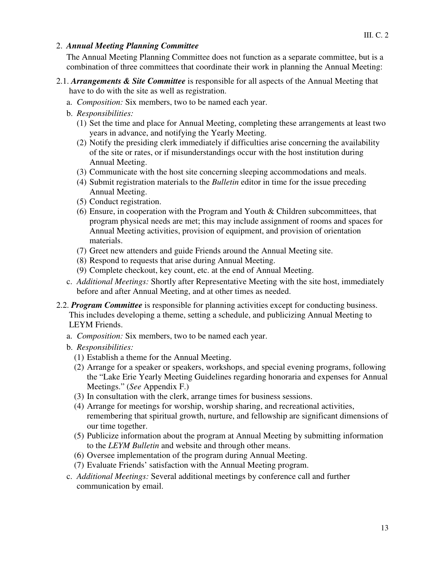#### 2. *Annual Meeting Planning Committee*

The Annual Meeting Planning Committee does not function as a separate committee, but is a combination of three committees that coordinate their work in planning the Annual Meeting:

- 2.1. *Arrangements & Site Committee* is responsible for all aspects of the Annual Meeting that have to do with the site as well as registration.
	- a. *Composition:* Six members, two to be named each year.
	- b. *Responsibilities:*
		- (1) Set the time and place for Annual Meeting, completing these arrangements at least two years in advance, and notifying the Yearly Meeting.
		- (2) Notify the presiding clerk immediately if difficulties arise concerning the availability of the site or rates, or if misunderstandings occur with the host institution during Annual Meeting.
		- (3) Communicate with the host site concerning sleeping accommodations and meals.
		- (4) Submit registration materials to the *Bulletin* editor in time for the issue preceding Annual Meeting.
		- (5) Conduct registration.
		- (6) Ensure, in cooperation with the Program and Youth & Children subcommittees, that program physical needs are met; this may include assignment of rooms and spaces for Annual Meeting activities, provision of equipment, and provision of orientation materials.
		- (7) Greet new attenders and guide Friends around the Annual Meeting site.
		- (8) Respond to requests that arise during Annual Meeting.
		- (9) Complete checkout, key count, etc. at the end of Annual Meeting.
	- c. *Additional Meetings:* Shortly after Representative Meeting with the site host, immediately before and after Annual Meeting, and at other times as needed.
- 2.2. *Program Committee* is responsible for planning activities except for conducting business. This includes developing a theme, setting a schedule, and publicizing Annual Meeting to LEYM Friends.
	- a. *Composition:* Six members, two to be named each year.
	- b. *Responsibilities:* 
		- (1) Establish a theme for the Annual Meeting.
		- (2) Arrange for a speaker or speakers, workshops, and special evening programs, following the "Lake Erie Yearly Meeting Guidelines regarding honoraria and expenses for Annual Meetings." (*See* Appendix F.)
		- (3) In consultation with the clerk, arrange times for business sessions.
		- (4) Arrange for meetings for worship, worship sharing, and recreational activities, remembering that spiritual growth, nurture, and fellowship are significant dimensions of our time together.
		- (5) Publicize information about the program at Annual Meeting by submitting information to the *LEYM Bulletin* and website and through other means.
		- (6) Oversee implementation of the program during Annual Meeting.
		- (7) Evaluate Friends' satisfaction with the Annual Meeting program.
	- c. *Additional Meetings:* Several additional meetings by conference call and further communication by email.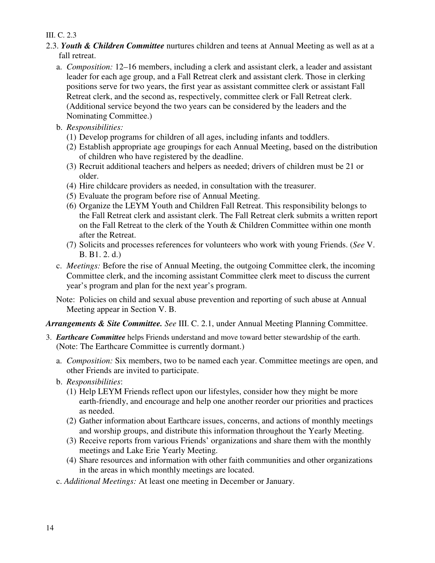#### III. C. 2.3

- 2.3. *Youth & Children Committee* nurtures children and teens at Annual Meeting as well as at a fall retreat.
	- a. *Composition:* 12–16 members, including a clerk and assistant clerk, a leader and assistant leader for each age group, and a Fall Retreat clerk and assistant clerk. Those in clerking positions serve for two years, the first year as assistant committee clerk or assistant Fall Retreat clerk, and the second as, respectively, committee clerk or Fall Retreat clerk. (Additional service beyond the two years can be considered by the leaders and the Nominating Committee.)
	- b. *Responsibilities:* 
		- (1) Develop programs for children of all ages, including infants and toddlers.
		- (2) Establish appropriate age groupings for each Annual Meeting, based on the distribution of children who have registered by the deadline.
		- (3) Recruit additional teachers and helpers as needed; drivers of children must be 21 or older.
		- (4) Hire childcare providers as needed, in consultation with the treasurer.
		- (5) Evaluate the program before rise of Annual Meeting.
		- (6) Organize the LEYM Youth and Children Fall Retreat. This responsibility belongs to the Fall Retreat clerk and assistant clerk. The Fall Retreat clerk submits a written report on the Fall Retreat to the clerk of the Youth & Children Committee within one month after the Retreat.
		- (7) Solicits and processes references for volunteers who work with young Friends. (*See* V. B. B1. 2. d.)
	- c. *Meetings:* Before the rise of Annual Meeting, the outgoing Committee clerk, the incoming Committee clerk, and the incoming assistant Committee clerk meet to discuss the current year's program and plan for the next year's program.
	- Note: Policies on child and sexual abuse prevention and reporting of such abuse at Annual Meeting appear in Section V. B.

*Arrangements & Site Committee. See* III. C. 2.1, under Annual Meeting Planning Committee.

- 3. *Earthcare Committee* helps Friends understand and move toward better stewardship of the earth. (Note: The Earthcare Committee is currently dormant.)
	- a. *Composition:* Six members, two to be named each year. Committee meetings are open, and other Friends are invited to participate.
	- b. *Responsibilities*:
		- (1) Help LEYM Friends reflect upon our lifestyles, consider how they might be more earth-friendly, and encourage and help one another reorder our priorities and practices as needed.
		- (2) Gather information about Earthcare issues, concerns, and actions of monthly meetings and worship groups, and distribute this information throughout the Yearly Meeting.
		- (3) Receive reports from various Friends' organizations and share them with the monthly meetings and Lake Erie Yearly Meeting.
		- (4) Share resources and information with other faith communities and other organizations in the areas in which monthly meetings are located.
	- c. *Additional Meetings:* At least one meeting in December or January.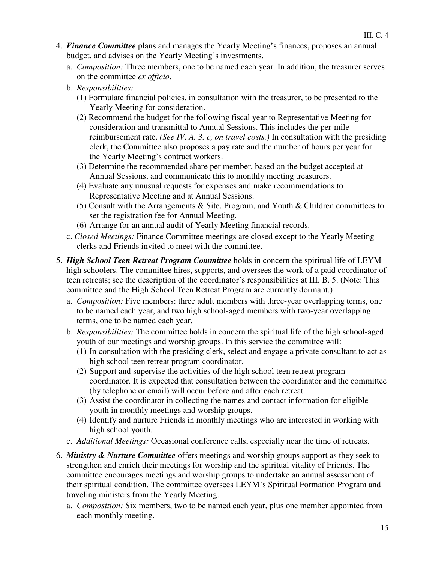- 4. *Finance Committee* plans and manages the Yearly Meeting's finances, proposes an annual budget, and advises on the Yearly Meeting's investments.
	- a. *Composition:* Three members, one to be named each year. In addition, the treasurer serves on the committee *ex officio*.
	- b. *Responsibilities:* 
		- (1) Formulate financial policies, in consultation with the treasurer, to be presented to the Yearly Meeting for consideration.
		- (2) Recommend the budget for the following fiscal year to Representative Meeting for consideration and transmittal to Annual Sessions. This includes the per-mile reimbursement rate. *(See IV. A. 3. c, on travel costs.)* In consultation with the presiding clerk, the Committee also proposes a pay rate and the number of hours per year for the Yearly Meeting's contract workers.
		- (3) Determine the recommended share per member, based on the budget accepted at Annual Sessions, and communicate this to monthly meeting treasurers.
		- (4) Evaluate any unusual requests for expenses and make recommendations to Representative Meeting and at Annual Sessions.
		- (5) Consult with the Arrangements  $&$  Site, Program, and Youth  $&$  Children committees to set the registration fee for Annual Meeting.
		- (6) Arrange for an annual audit of Yearly Meeting financial records.
	- c. *Closed Meetings:* Finance Committee meetings are closed except to the Yearly Meeting clerks and Friends invited to meet with the committee.
- 5. *High School Teen Retreat Program Committee* holds in concern the spiritual life of LEYM high schoolers. The committee hires, supports, and oversees the work of a paid coordinator of teen retreats; see the description of the coordinator's responsibilities at III. B. 5. (Note: This committee and the High School Teen Retreat Program are currently dormant.)
	- a. *Composition:* Five members: three adult members with three-year overlapping terms, one to be named each year, and two high school-aged members with two-year overlapping terms, one to be named each year.
	- b. *Responsibilities:* The committee holds in concern the spiritual life of the high school-aged youth of our meetings and worship groups. In this service the committee will:
		- (1) In consultation with the presiding clerk, select and engage a private consultant to act as high school teen retreat program coordinator.
		- (2) Support and supervise the activities of the high school teen retreat program coordinator. It is expected that consultation between the coordinator and the committee (by telephone or email) will occur before and after each retreat.
		- (3) Assist the coordinator in collecting the names and contact information for eligible youth in monthly meetings and worship groups.
		- (4) Identify and nurture Friends in monthly meetings who are interested in working with high school youth.
	- c. *Additional Meetings:* Occasional conference calls, especially near the time of retreats.
- 6. *Ministry & Nurture Committee* offers meetings and worship groups support as they seek to strengthen and enrich their meetings for worship and the spiritual vitality of Friends. The committee encourages meetings and worship groups to undertake an annual assessment of their spiritual condition. The committee oversees LEYM's Spiritual Formation Program and traveling ministers from the Yearly Meeting.
	- a. *Composition:* Six members, two to be named each year, plus one member appointed from each monthly meeting.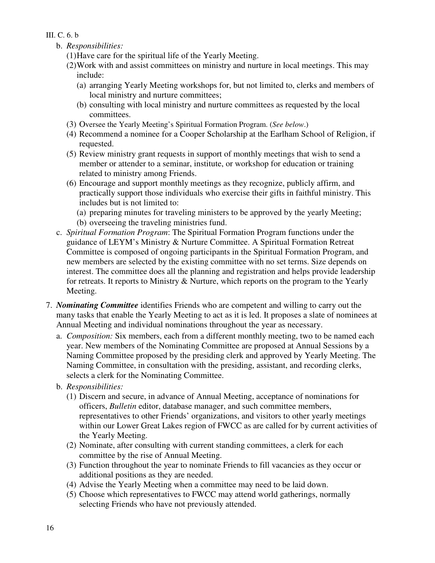- III. C. 6. b
	- b. *Responsibilities:* 
		- (1) Have care for the spiritual life of the Yearly Meeting.
		- (2) Work with and assist committees on ministry and nurture in local meetings. This may include:
			- (a) arranging Yearly Meeting workshops for, but not limited to, clerks and members of local ministry and nurture committees;
			- (b) consulting with local ministry and nurture committees as requested by the local committees.
		- (3) Oversee the Yearly Meeting's Spiritual Formation Program. (*See below*.)
		- (4) Recommend a nominee for a Cooper Scholarship at the Earlham School of Religion, if requested.
		- (5) Review ministry grant requests in support of monthly meetings that wish to send a member or attender to a seminar, institute, or workshop for education or training related to ministry among Friends.
		- (6) Encourage and support monthly meetings as they recognize, publicly affirm, and practically support those individuals who exercise their gifts in faithful ministry. This includes but is not limited to:
			- (a) preparing minutes for traveling ministers to be approved by the yearly Meeting;
			- (b) overseeing the traveling ministries fund.
	- c. *Spiritual Formation Program*: The Spiritual Formation Program functions under the guidance of LEYM's Ministry & Nurture Committee. A Spiritual Formation Retreat Committee is composed of ongoing participants in the Spiritual Formation Program, and new members are selected by the existing committee with no set terms. Size depends on interest. The committee does all the planning and registration and helps provide leadership for retreats. It reports to Ministry & Nurture, which reports on the program to the Yearly Meeting.
- 7. *Nominating Committee* identifies Friends who are competent and willing to carry out the many tasks that enable the Yearly Meeting to act as it is led. It proposes a slate of nominees at Annual Meeting and individual nominations throughout the year as necessary.
	- a. *Composition:* Six members, each from a different monthly meeting, two to be named each year. New members of the Nominating Committee are proposed at Annual Sessions by a Naming Committee proposed by the presiding clerk and approved by Yearly Meeting. The Naming Committee, in consultation with the presiding, assistant, and recording clerks, selects a clerk for the Nominating Committee.
	- b. *Responsibilities:* 
		- (1) Discern and secure, in advance of Annual Meeting, acceptance of nominations for officers, *Bulletin* editor, database manager, and such committee members, representatives to other Friends' organizations, and visitors to other yearly meetings within our Lower Great Lakes region of FWCC as are called for by current activities of the Yearly Meeting.
		- (2) Nominate, after consulting with current standing committees, a clerk for each committee by the rise of Annual Meeting.
		- (3) Function throughout the year to nominate Friends to fill vacancies as they occur or additional positions as they are needed.
		- (4) Advise the Yearly Meeting when a committee may need to be laid down.
		- (5) Choose which representatives to FWCC may attend world gatherings, normally selecting Friends who have not previously attended.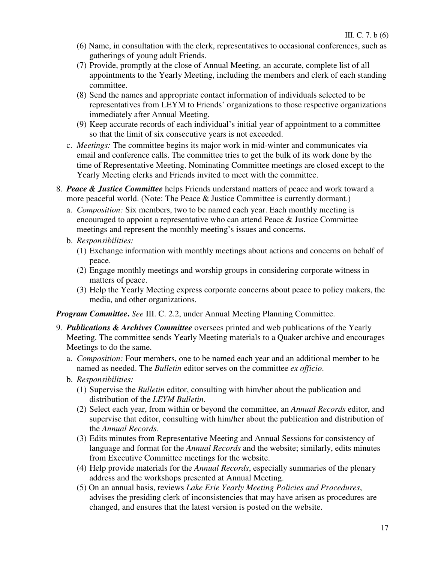- (6) Name, in consultation with the clerk, representatives to occasional conferences, such as gatherings of young adult Friends.
- (7) Provide, promptly at the close of Annual Meeting, an accurate, complete list of all appointments to the Yearly Meeting, including the members and clerk of each standing committee.
- (8) Send the names and appropriate contact information of individuals selected to be representatives from LEYM to Friends' organizations to those respective organizations immediately after Annual Meeting.
- (9) Keep accurate records of each individual's initial year of appointment to a committee so that the limit of six consecutive years is not exceeded.
- c. *Meetings:* The committee begins its major work in mid-winter and communicates via email and conference calls. The committee tries to get the bulk of its work done by the time of Representative Meeting. Nominating Committee meetings are closed except to the Yearly Meeting clerks and Friends invited to meet with the committee.
- 8. *Peace & Justice Committee* helps Friends understand matters of peace and work toward a more peaceful world. (Note: The Peace & Justice Committee is currently dormant.)
	- a. *Composition:* Six members, two to be named each year. Each monthly meeting is encouraged to appoint a representative who can attend Peace & Justice Committee meetings and represent the monthly meeting's issues and concerns.
	- b. *Responsibilities:* 
		- (1) Exchange information with monthly meetings about actions and concerns on behalf of peace.
		- (2) Engage monthly meetings and worship groups in considering corporate witness in matters of peace.
		- (3) Help the Yearly Meeting express corporate concerns about peace to policy makers, the media, and other organizations.

*Program Committee***.** *See* III. C. 2.2, under Annual Meeting Planning Committee.

- 9. *Publications & Archives Committee* oversees printed and web publications of the Yearly Meeting. The committee sends Yearly Meeting materials to a Quaker archive and encourages Meetings to do the same.
	- a. *Composition:* Four members, one to be named each year and an additional member to be named as needed. The *Bulletin* editor serves on the committee *ex officio*.
	- b. *Responsibilities:* 
		- (1) Supervise the *Bulletin* editor, consulting with him/her about the publication and distribution of the *LEYM Bulletin*.
		- (2) Select each year, from within or beyond the committee, an *Annual Records* editor, and supervise that editor, consulting with him/her about the publication and distribution of the *Annual Records*.
		- (3) Edits minutes from Representative Meeting and Annual Sessions for consistency of language and format for the *Annual Records* and the website; similarly, edits minutes from Executive Committee meetings for the website.
		- (4) Help provide materials for the *Annual Records*, especially summaries of the plenary address and the workshops presented at Annual Meeting.
		- (5) On an annual basis, reviews *Lake Erie Yearly Meeting Policies and Procedures*, advises the presiding clerk of inconsistencies that may have arisen as procedures are changed, and ensures that the latest version is posted on the website.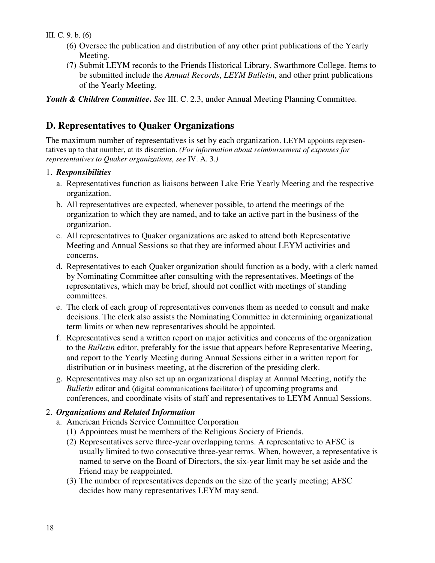#### III. C. 9. b. (6)

- (6) Oversee the publication and distribution of any other print publications of the Yearly Meeting.
- (7) Submit LEYM records to the Friends Historical Library, Swarthmore College. Items to be submitted include the *Annual Records*, *LEYM Bulletin*, and other print publications of the Yearly Meeting.

*Youth & Children Committee***.** *See* III. C. 2.3, under Annual Meeting Planning Committee.

# **D. Representatives to Quaker Organizations**

The maximum number of representatives is set by each organization. LEYM appoints representatives up to that number, at its discretion. *(For information about reimbursement of expenses for representatives to Quaker organizations, see* IV. A. 3.*)*

#### 1. *Responsibilities*

- a. Representatives function as liaisons between Lake Erie Yearly Meeting and the respective organization.
- b. All representatives are expected, whenever possible, to attend the meetings of the organization to which they are named, and to take an active part in the business of the organization.
- c. All representatives to Quaker organizations are asked to attend both Representative Meeting and Annual Sessions so that they are informed about LEYM activities and concerns.
- d. Representatives to each Quaker organization should function as a body, with a clerk named by Nominating Committee after consulting with the representatives. Meetings of the representatives, which may be brief, should not conflict with meetings of standing committees.
- e. The clerk of each group of representatives convenes them as needed to consult and make decisions. The clerk also assists the Nominating Committee in determining organizational term limits or when new representatives should be appointed.
- f. Representatives send a written report on major activities and concerns of the organization to the *Bulletin* editor, preferably for the issue that appears before Representative Meeting, and report to the Yearly Meeting during Annual Sessions either in a written report for distribution or in business meeting, at the discretion of the presiding clerk.
- g. Representatives may also set up an organizational display at Annual Meeting, notify the *Bulletin* editor and (digital communications facilitator) of upcoming programs and conferences, and coordinate visits of staff and representatives to LEYM Annual Sessions.

#### 2. *Organizations and Related Information*

- a. American Friends Service Committee Corporation
	- (1) Appointees must be members of the Religious Society of Friends.
	- (2) Representatives serve three-year overlapping terms. A representative to AFSC is usually limited to two consecutive three-year terms. When, however, a representative is named to serve on the Board of Directors, the six-year limit may be set aside and the Friend may be reappointed.
	- (3) The number of representatives depends on the size of the yearly meeting; AFSC decides how many representatives LEYM may send.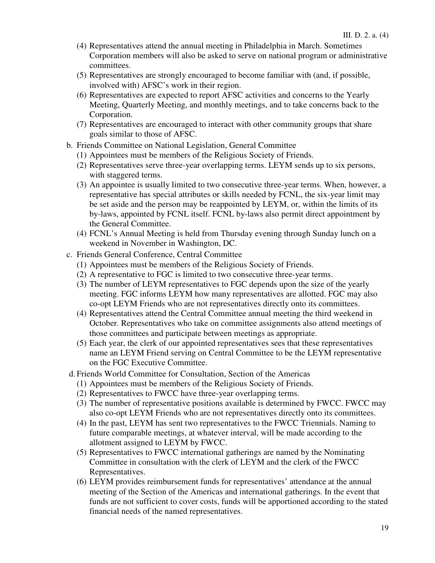- (4) Representatives attend the annual meeting in Philadelphia in March. Sometimes Corporation members will also be asked to serve on national program or administrative committees.
- (5) Representatives are strongly encouraged to become familiar with (and, if possible, involved with) AFSC's work in their region.
- (6) Representatives are expected to report AFSC activities and concerns to the Yearly Meeting, Quarterly Meeting, and monthly meetings, and to take concerns back to the Corporation.
- (7) Representatives are encouraged to interact with other community groups that share goals similar to those of AFSC.
- b. Friends Committee on National Legislation, General Committee
	- (1) Appointees must be members of the Religious Society of Friends.
	- (2) Representatives serve three-year overlapping terms. LEYM sends up to six persons, with staggered terms.
	- (3) An appointee is usually limited to two consecutive three-year terms. When, however, a representative has special attributes or skills needed by FCNL, the six-year limit may be set aside and the person may be reappointed by LEYM, or, within the limits of its by-laws, appointed by FCNL itself. FCNL by-laws also permit direct appointment by the General Committee.
	- (4) FCNL's Annual Meeting is held from Thursday evening through Sunday lunch on a weekend in November in Washington, DC.
- c. Friends General Conference, Central Committee
	- (1) Appointees must be members of the Religious Society of Friends.
	- (2) A representative to FGC is limited to two consecutive three-year terms.
	- (3) The number of LEYM representatives to FGC depends upon the size of the yearly meeting. FGC informs LEYM how many representatives are allotted. FGC may also co-opt LEYM Friends who are not representatives directly onto its committees.
	- (4) Representatives attend the Central Committee annual meeting the third weekend in October. Representatives who take on committee assignments also attend meetings of those committees and participate between meetings as appropriate.
	- (5) Each year, the clerk of our appointed representatives sees that these representatives name an LEYM Friend serving on Central Committee to be the LEYM representative on the FGC Executive Committee.
- d. Friends World Committee for Consultation, Section of the Americas
	- (1) Appointees must be members of the Religious Society of Friends.
	- (2) Representatives to FWCC have three-year overlapping terms.
	- (3) The number of representative positions available is determined by FWCC. FWCC may also co-opt LEYM Friends who are not representatives directly onto its committees.
	- (4) In the past, LEYM has sent two representatives to the FWCC Triennials. Naming to future comparable meetings, at whatever interval, will be made according to the allotment assigned to LEYM by FWCC.
	- (5) Representatives to FWCC international gatherings are named by the Nominating Committee in consultation with the clerk of LEYM and the clerk of the FWCC Representatives.
	- (6) LEYM provides reimbursement funds for representatives' attendance at the annual meeting of the Section of the Americas and international gatherings. In the event that funds are not sufficient to cover costs, funds will be apportioned according to the stated financial needs of the named representatives.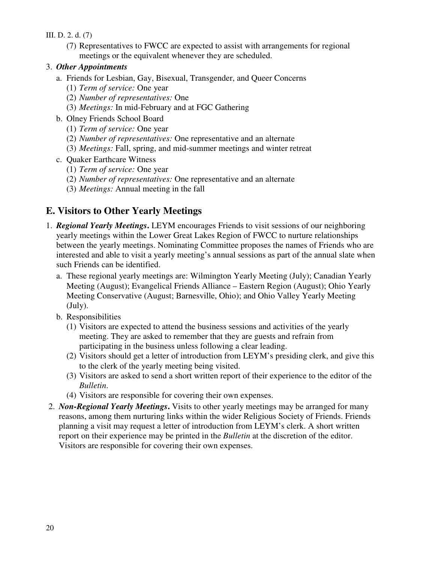#### III. D. 2. d. (7)

(7) Representatives to FWCC are expected to assist with arrangements for regional meetings or the equivalent whenever they are scheduled.

#### 3. *Other Appointments*

- a. Friends for Lesbian, Gay, Bisexual, Transgender, and Queer Concerns
	- (1) *Term of service:* One year
	- (2) *Number of representatives:* One
	- (3) *Meetings:* In mid-February and at FGC Gathering
- b. Olney Friends School Board
	- (1) *Term of service:* One year
	- (2) *Number of representatives:* One representative and an alternate
	- (3) *Meetings:* Fall, spring, and mid-summer meetings and winter retreat
- c. Quaker Earthcare Witness
	- (1) *Term of service:* One year
	- (2) *Number of representatives:* One representative and an alternate
	- (3) *Meetings:* Annual meeting in the fall

# **E. Visitors to Other Yearly Meetings**

- 1. *Regional Yearly Meetings***.** LEYM encourages Friends to visit sessions of our neighboring yearly meetings within the Lower Great Lakes Region of FWCC to nurture relationships between the yearly meetings. Nominating Committee proposes the names of Friends who are interested and able to visit a yearly meeting's annual sessions as part of the annual slate when such Friends can be identified.
	- a. These regional yearly meetings are: Wilmington Yearly Meeting (July); Canadian Yearly Meeting (August); Evangelical Friends Alliance – Eastern Region (August); Ohio Yearly Meeting Conservative (August; Barnesville, Ohio); and Ohio Valley Yearly Meeting (July).
	- b. Responsibilities
		- (1) Visitors are expected to attend the business sessions and activities of the yearly meeting. They are asked to remember that they are guests and refrain from participating in the business unless following a clear leading.
		- (2) Visitors should get a letter of introduction from LEYM's presiding clerk, and give this to the clerk of the yearly meeting being visited.
		- (3) Visitors are asked to send a short written report of their experience to the editor of the *Bulletin*.
		- (4) Visitors are responsible for covering their own expenses.
- 2. *Non-Regional Yearly Meetings***.** Visits to other yearly meetings may be arranged for many reasons, among them nurturing links within the wider Religious Society of Friends. Friends planning a visit may request a letter of introduction from LEYM's clerk. A short written report on their experience may be printed in the *Bulletin* at the discretion of the editor. Visitors are responsible for covering their own expenses.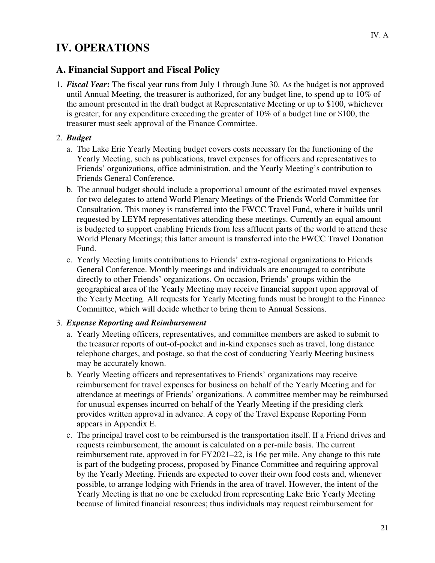# **IV. OPERATIONS**

# **A. Financial Support and Fiscal Policy**

1.*Fiscal Year***:** The fiscal year runs from July 1 through June 30. As the budget is not approved until Annual Meeting, the treasurer is authorized, for any budget line, to spend up to 10% of the amount presented in the draft budget at Representative Meeting or up to \$100, whichever is greater; for any expenditure exceeding the greater of 10% of a budget line or \$100, the treasurer must seek approval of the Finance Committee.

#### 2. *Budget*

- a. The Lake Erie Yearly Meeting budget covers costs necessary for the functioning of the Yearly Meeting, such as publications, travel expenses for officers and representatives to Friends' organizations, office administration, and the Yearly Meeting's contribution to Friends General Conference.
- b. The annual budget should include a proportional amount of the estimated travel expenses for two delegates to attend World Plenary Meetings of the Friends World Committee for Consultation. This money is transferred into the FWCC Travel Fund, where it builds until requested by LEYM representatives attending these meetings. Currently an equal amount is budgeted to support enabling Friends from less affluent parts of the world to attend these World Plenary Meetings; this latter amount is transferred into the FWCC Travel Donation Fund.
- c. Yearly Meeting limits contributions to Friends' extra-regional organizations to Friends General Conference. Monthly meetings and individuals are encouraged to contribute directly to other Friends' organizations. On occasion, Friends' groups within the geographical area of the Yearly Meeting may receive financial support upon approval of the Yearly Meeting. All requests for Yearly Meeting funds must be brought to the Finance Committee, which will decide whether to bring them to Annual Sessions.

#### 3. *Expense Reporting and Reimbursement*

- a. Yearly Meeting officers, representatives, and committee members are asked to submit to the treasurer reports of out-of-pocket and in-kind expenses such as travel, long distance telephone charges, and postage, so that the cost of conducting Yearly Meeting business may be accurately known.
- b. Yearly Meeting officers and representatives to Friends' organizations may receive reimbursement for travel expenses for business on behalf of the Yearly Meeting and for attendance at meetings of Friends' organizations. A committee member may be reimbursed for unusual expenses incurred on behalf of the Yearly Meeting if the presiding clerk provides written approval in advance. A copy of the Travel Expense Reporting Form appears in Appendix E.
- c. The principal travel cost to be reimbursed is the transportation itself. If a Friend drives and requests reimbursement, the amount is calculated on a per-mile basis. The current reimbursement rate, approved in for FY2021–22, is 16¢ per mile. Any change to this rate is part of the budgeting process, proposed by Finance Committee and requiring approval by the Yearly Meeting. Friends are expected to cover their own food costs and, whenever possible, to arrange lodging with Friends in the area of travel. However, the intent of the Yearly Meeting is that no one be excluded from representing Lake Erie Yearly Meeting because of limited financial resources; thus individuals may request reimbursement for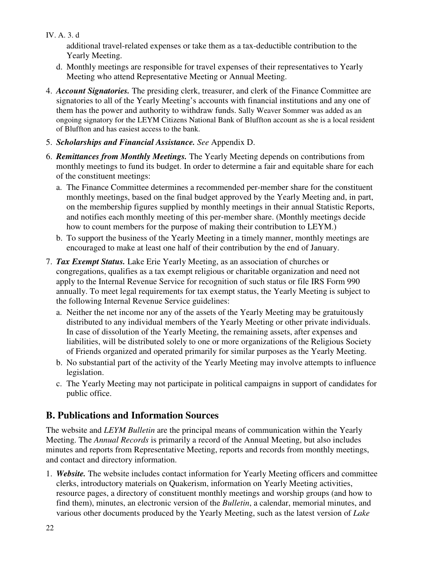IV. A. 3. d

additional travel-related expenses or take them as a tax-deductible contribution to the Yearly Meeting.

- d. Monthly meetings are responsible for travel expenses of their representatives to Yearly Meeting who attend Representative Meeting or Annual Meeting.
- 4.*Account Signatories.* The presiding clerk, treasurer, and clerk of the Finance Committee are signatories to all of the Yearly Meeting's accounts with financial institutions and any one of them has the power and authority to withdraw funds. Sally Weaver Sommer was added as an ongoing signatory for the LEYM Citizens National Bank of Bluffton account as she is a local resident of Bluffton and has easiest access to the bank.
- 5. *Scholarships and Financial Assistance. See* Appendix D.
- 6. *Remittances from Monthly Meetings.* The Yearly Meeting depends on contributions from monthly meetings to fund its budget. In order to determine a fair and equitable share for each of the constituent meetings:
	- a. The Finance Committee determines a recommended per-member share for the constituent monthly meetings, based on the final budget approved by the Yearly Meeting and, in part, on the membership figures supplied by monthly meetings in their annual Statistic Reports, and notifies each monthly meeting of this per-member share. (Monthly meetings decide how to count members for the purpose of making their contribution to LEYM.)
	- b. To support the business of the Yearly Meeting in a timely manner, monthly meetings are encouraged to make at least one half of their contribution by the end of January.
- 7. *Tax Exempt Status.* Lake Erie Yearly Meeting, as an association of churches or congregations, qualifies as a tax exempt religious or charitable organization and need not apply to the Internal Revenue Service for recognition of such status or file IRS Form 990 annually. To meet legal requirements for tax exempt status, the Yearly Meeting is subject to the following Internal Revenue Service guidelines:
	- a. Neither the net income nor any of the assets of the Yearly Meeting may be gratuitously distributed to any individual members of the Yearly Meeting or other private individuals. In case of dissolution of the Yearly Meeting, the remaining assets, after expenses and liabilities, will be distributed solely to one or more organizations of the Religious Society of Friends organized and operated primarily for similar purposes as the Yearly Meeting.
	- b. No substantial part of the activity of the Yearly Meeting may involve attempts to influence legislation.
	- c. The Yearly Meeting may not participate in political campaigns in support of candidates for public office.

# **B. Publications and Information Sources**

The website and *LEYM Bulletin* are the principal means of communication within the Yearly Meeting. The *Annual Records* is primarily a record of the Annual Meeting, but also includes minutes and reports from Representative Meeting, reports and records from monthly meetings, and contact and directory information.

1. *Website.* The website includes contact information for Yearly Meeting officers and committee clerks, introductory materials on Quakerism, information on Yearly Meeting activities, resource pages, a directory of constituent monthly meetings and worship groups (and how to find them), minutes, an electronic version of the *Bulletin*, a calendar, memorial minutes, and various other documents produced by the Yearly Meeting, such as the latest version of *Lake*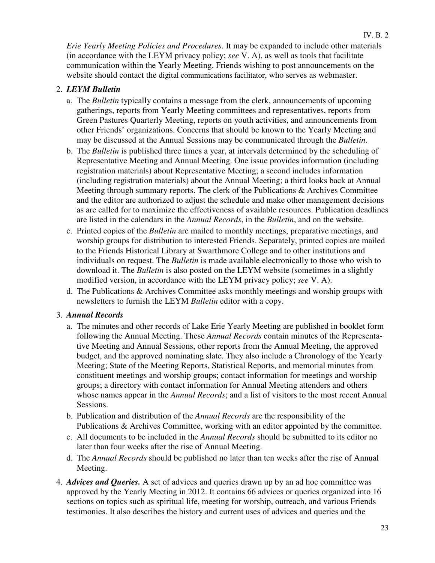*Erie Yearly Meeting Policies and Procedures*. It may be expanded to include other materials (in accordance with the LEYM privacy policy; *see* V. A), as well as tools that facilitate communication within the Yearly Meeting. Friends wishing to post announcements on the website should contact the digital communications facilitator, who serves as webmaster.

#### 2. *LEYM Bulletin*

- a. The *Bulletin* typically contains a message from the clerk, announcements of upcoming gatherings, reports from Yearly Meeting committees and representatives, reports from Green Pastures Quarterly Meeting, reports on youth activities, and announcements from other Friends' organizations. Concerns that should be known to the Yearly Meeting and may be discussed at the Annual Sessions may be communicated through the *Bulletin*.
- b. The *Bulletin* is published three times a year, at intervals determined by the scheduling of Representative Meeting and Annual Meeting. One issue provides information (including registration materials) about Representative Meeting; a second includes information (including registration materials) about the Annual Meeting; a third looks back at Annual Meeting through summary reports. The clerk of the Publications & Archives Committee and the editor are authorized to adjust the schedule and make other management decisions as are called for to maximize the effectiveness of available resources. Publication deadlines are listed in the calendars in the *Annual Records*, in the *Bulletin*, and on the website.
- c. Printed copies of the *Bulletin* are mailed to monthly meetings, preparative meetings, and worship groups for distribution to interested Friends. Separately, printed copies are mailed to the Friends Historical Library at Swarthmore College and to other institutions and individuals on request. The *Bulletin* is made available electronically to those who wish to download it. The *Bulletin* is also posted on the LEYM website (sometimes in a slightly modified version, in accordance with the LEYM privacy policy; *see* V. A).
- d. The Publications & Archives Committee asks monthly meetings and worship groups with newsletters to furnish the LEYM *Bulletin* editor with a copy.

#### 3. *Annual Records*

- a. The minutes and other records of Lake Erie Yearly Meeting are published in booklet form following the Annual Meeting. These *Annual Records* contain minutes of the Representative Meeting and Annual Sessions, other reports from the Annual Meeting, the approved budget, and the approved nominating slate. They also include a Chronology of the Yearly Meeting; State of the Meeting Reports, Statistical Reports, and memorial minutes from constituent meetings and worship groups; contact information for meetings and worship groups; a directory with contact information for Annual Meeting attenders and others whose names appear in the *Annual Records*; and a list of visitors to the most recent Annual Sessions.
- b. Publication and distribution of the *Annual Records* are the responsibility of the Publications & Archives Committee, working with an editor appointed by the committee.
- c. All documents to be included in the *Annual Records* should be submitted to its editor no later than four weeks after the rise of Annual Meeting.
- d. The *Annual Records* should be published no later than ten weeks after the rise of Annual Meeting.
- 4. *Advices and Queries.* A set of advices and queries drawn up by an ad hoc committee was approved by the Yearly Meeting in 2012. It contains 66 advices or queries organized into 16 sections on topics such as spiritual life, meeting for worship, outreach, and various Friends testimonies. It also describes the history and current uses of advices and queries and the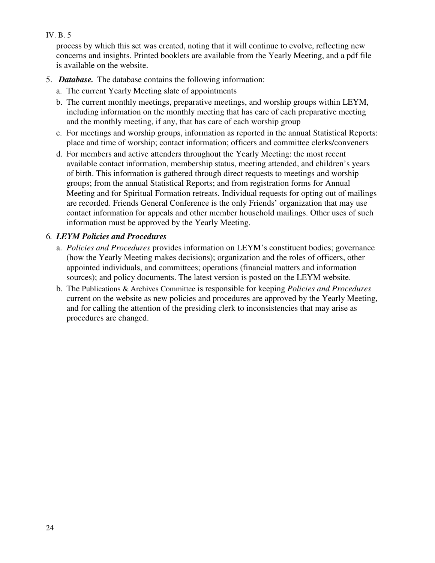#### IV. B. 5

process by which this set was created, noting that it will continue to evolve, reflecting new concerns and insights. Printed booklets are available from the Yearly Meeting, and a pdf file is available on the website.

- 5. *Database.* The database contains the following information:
	- a. The current Yearly Meeting slate of appointments
	- b. The current monthly meetings, preparative meetings, and worship groups within LEYM, including information on the monthly meeting that has care of each preparative meeting and the monthly meeting, if any, that has care of each worship group
	- c. For meetings and worship groups, information as reported in the annual Statistical Reports: place and time of worship; contact information; officers and committee clerks/conveners
	- d. For members and active attenders throughout the Yearly Meeting: the most recent available contact information, membership status, meeting attended, and children's years of birth. This information is gathered through direct requests to meetings and worship groups; from the annual Statistical Reports; and from registration forms for Annual Meeting and for Spiritual Formation retreats. Individual requests for opting out of mailings are recorded. Friends General Conference is the only Friends' organization that may use contact information for appeals and other member household mailings. Other uses of such information must be approved by the Yearly Meeting.

#### 6*. LEYM Policies and Procedures*

- a. *Policies and Procedures* provides information on LEYM's constituent bodies; governance (how the Yearly Meeting makes decisions); organization and the roles of officers, other appointed individuals, and committees; operations (financial matters and information sources); and policy documents. The latest version is posted on the LEYM website.
- b. The Publications & Archives Committee is responsible for keeping *Policies and Procedures*  current on the website as new policies and procedures are approved by the Yearly Meeting, and for calling the attention of the presiding clerk to inconsistencies that may arise as procedures are changed.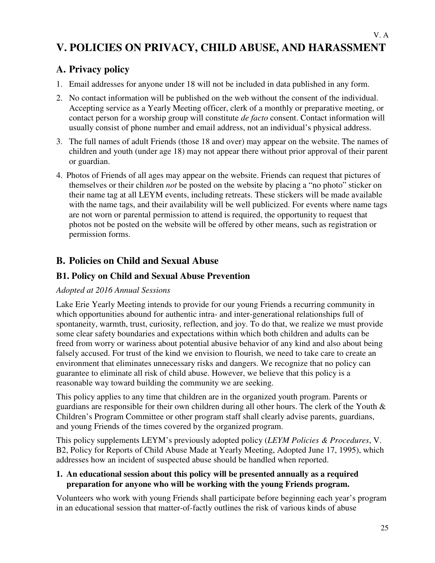# **V. POLICIES ON PRIVACY, CHILD ABUSE, AND HARASSMENT**

# **A. Privacy policy**

- 1. Email addresses for anyone under 18 will not be included in data published in any form.
- 2. No contact information will be published on the web without the consent of the individual. Accepting service as a Yearly Meeting officer, clerk of a monthly or preparative meeting, or contact person for a worship group will constitute *de facto* consent. Contact information will usually consist of phone number and email address, not an individual's physical address.
- 3. The full names of adult Friends (those 18 and over) may appear on the website. The names of children and youth (under age 18) may not appear there without prior approval of their parent or guardian.
- 4. Photos of Friends of all ages may appear on the website. Friends can request that pictures of themselves or their children *not* be posted on the website by placing a "no photo" sticker on their name tag at all LEYM events, including retreats. These stickers will be made available with the name tags, and their availability will be well publicized. For events where name tags are not worn or parental permission to attend is required, the opportunity to request that photos not be posted on the website will be offered by other means, such as registration or permission forms.

### **B. Policies on Child and Sexual Abuse**

#### **B1. Policy on Child and Sexual Abuse Prevention**

#### *Adopted at 2016 Annual Sessions*

Lake Erie Yearly Meeting intends to provide for our young Friends a recurring community in which opportunities abound for authentic intra- and inter-generational relationships full of spontaneity, warmth, trust, curiosity, reflection, and joy. To do that, we realize we must provide some clear safety boundaries and expectations within which both children and adults can be freed from worry or wariness about potential abusive behavior of any kind and also about being falsely accused. For trust of the kind we envision to flourish, we need to take care to create an environment that eliminates unnecessary risks and dangers. We recognize that no policy can guarantee to eliminate all risk of child abuse. However, we believe that this policy is a reasonable way toward building the community we are seeking.

This policy applies to any time that children are in the organized youth program. Parents or guardians are responsible for their own children during all other hours. The clerk of the Youth & Children's Program Committee or other program staff shall clearly advise parents, guardians, and young Friends of the times covered by the organized program.

This policy supplements LEYM's previously adopted policy (*LEYM Policies & Procedures*, V. B2, Policy for Reports of Child Abuse Made at Yearly Meeting, Adopted June 17, 1995), which addresses how an incident of suspected abuse should be handled when reported.

#### **1. An educational session about this policy will be presented annually as a required preparation for anyone who will be working with the young Friends program.**

Volunteers who work with young Friends shall participate before beginning each year's program in an educational session that matter-of-factly outlines the risk of various kinds of abuse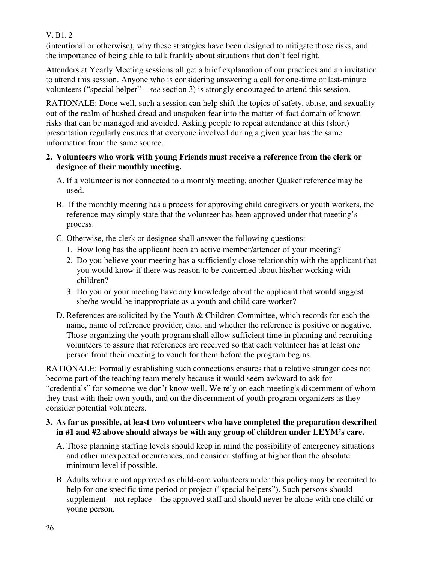V. B1. 2

(intentional or otherwise), why these strategies have been designed to mitigate those risks, and the importance of being able to talk frankly about situations that don't feel right.

Attenders at Yearly Meeting sessions all get a brief explanation of our practices and an invitation to attend this session. Anyone who is considering answering a call for one-time or last-minute volunteers ("special helper" ‒ *see* section 3) is strongly encouraged to attend this session.

RATIONALE: Done well, such a session can help shift the topics of safety, abuse, and sexuality out of the realm of hushed dread and unspoken fear into the matter-of-fact domain of known risks that can be managed and avoided. Asking people to repeat attendance at this (short) presentation regularly ensures that everyone involved during a given year has the same information from the same source.

#### **2. Volunteers who work with young Friends must receive a reference from the clerk or designee of their monthly meeting.**

- A. If a volunteer is not connected to a monthly meeting, another Quaker reference may be used.
- B. If the monthly meeting has a process for approving child caregivers or youth workers, the reference may simply state that the volunteer has been approved under that meeting's process.
- C. Otherwise, the clerk or designee shall answer the following questions:
	- 1. How long has the applicant been an active member/attender of your meeting?
	- 2. Do you believe your meeting has a sufficiently close relationship with the applicant that you would know if there was reason to be concerned about his/her working with children?
	- 3. Do you or your meeting have any knowledge about the applicant that would suggest she/he would be inappropriate as a youth and child care worker?
- D. References are solicited by the Youth & Children Committee, which records for each the name, name of reference provider, date, and whether the reference is positive or negative. Those organizing the youth program shall allow sufficient time in planning and recruiting volunteers to assure that references are received so that each volunteer has at least one person from their meeting to vouch for them before the program begins.

RATIONALE: Formally establishing such connections ensures that a relative stranger does not become part of the teaching team merely because it would seem awkward to ask for "credentials" for someone we don't know well. We rely on each meeting's discernment of whom they trust with their own youth, and on the discernment of youth program organizers as they consider potential volunteers.

#### **3. As far as possible, at least two volunteers who have completed the preparation described in #1 and #2 above should always be with any group of children under LEYM's care.**

- A. Those planning staffing levels should keep in mind the possibility of emergency situations and other unexpected occurrences, and consider staffing at higher than the absolute minimum level if possible.
- B. Adults who are not approved as child-care volunteers under this policy may be recruited to help for one specific time period or project ("special helpers"). Such persons should supplement  $-$  not replace  $-$  the approved staff and should never be alone with one child or young person.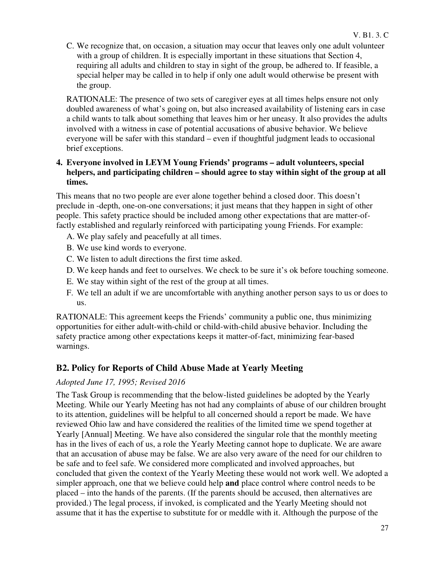C. We recognize that, on occasion, a situation may occur that leaves only one adult volunteer with a group of children. It is especially important in these situations that Section 4, requiring all adults and children to stay in sight of the group, be adhered to. If feasible, a special helper may be called in to help if only one adult would otherwise be present with the group.

RATIONALE: The presence of two sets of caregiver eyes at all times helps ensure not only doubled awareness of what's going on, but also increased availability of listening ears in case a child wants to talk about something that leaves him or her uneasy. It also provides the adults involved with a witness in case of potential accusations of abusive behavior. We believe everyone will be safer with this standard – even if thoughtful judgment leads to occasional brief exceptions.

#### **4. Everyone involved in LEYM Young Friends' programs – adult volunteers, special helpers, and participating children – should agree to stay within sight of the group at all times.**

This means that no two people are ever alone together behind a closed door. This doesn't preclude in -depth, one-on-one conversations; it just means that they happen in sight of other people. This safety practice should be included among other expectations that are matter-offactly established and regularly reinforced with participating young Friends. For example:

- A. We play safely and peacefully at all times.
- B. We use kind words to everyone.
- C. We listen to adult directions the first time asked.
- D. We keep hands and feet to ourselves. We check to be sure it's ok before touching someone.
- E. We stay within sight of the rest of the group at all times.
- F. We tell an adult if we are uncomfortable with anything another person says to us or does to us.

RATIONALE: This agreement keeps the Friends' community a public one, thus minimizing opportunities for either adult-with-child or child-with-child abusive behavior. Including the safety practice among other expectations keeps it matter-of-fact, minimizing fear-based warnings.

### **B2. Policy for Reports of Child Abuse Made at Yearly Meeting**

#### *Adopted June 17, 1995; Revised 2016*

The Task Group is recommending that the below-listed guidelines be adopted by the Yearly Meeting. While our Yearly Meeting has not had any complaints of abuse of our children brought to its attention, guidelines will be helpful to all concerned should a report be made. We have reviewed Ohio law and have considered the realities of the limited time we spend together at Yearly [Annual] Meeting. We have also considered the singular role that the monthly meeting has in the lives of each of us, a role the Yearly Meeting cannot hope to duplicate. We are aware that an accusation of abuse may be false. We are also very aware of the need for our children to be safe and to feel safe. We considered more complicated and involved approaches, but concluded that given the context of the Yearly Meeting these would not work well. We adopted a simpler approach, one that we believe could help **and** place control where control needs to be placed – into the hands of the parents. (If the parents should be accused, then alternatives are provided.) The legal process, if invoked, is complicated and the Yearly Meeting should not assume that it has the expertise to substitute for or meddle with it. Although the purpose of the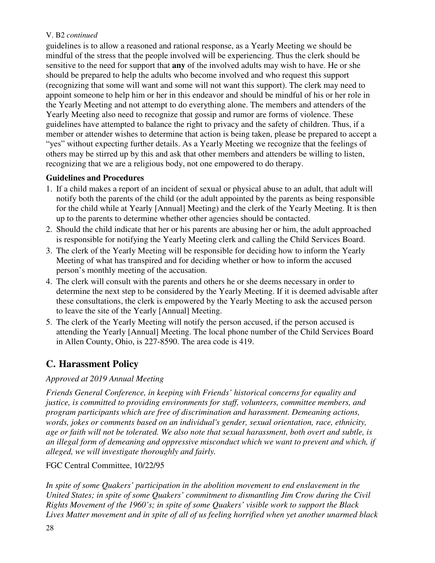#### V. B2 *continued*

guidelines is to allow a reasoned and rational response, as a Yearly Meeting we should be mindful of the stress that the people involved will be experiencing. Thus the clerk should be sensitive to the need for support that **any** of the involved adults may wish to have. He or she should be prepared to help the adults who become involved and who request this support (recognizing that some will want and some will not want this support). The clerk may need to appoint someone to help him or her in this endeavor and should be mindful of his or her role in the Yearly Meeting and not attempt to do everything alone. The members and attenders of the Yearly Meeting also need to recognize that gossip and rumor are forms of violence. These guidelines have attempted to balance the right to privacy and the safety of children. Thus, if a member or attender wishes to determine that action is being taken, please be prepared to accept a "yes" without expecting further details. As a Yearly Meeting we recognize that the feelings of others may be stirred up by this and ask that other members and attenders be willing to listen, recognizing that we are a religious body, not one empowered to do therapy.

#### **Guidelines and Procedures**

- 1. If a child makes a report of an incident of sexual or physical abuse to an adult, that adult will notify both the parents of the child (or the adult appointed by the parents as being responsible for the child while at Yearly [Annual] Meeting) and the clerk of the Yearly Meeting. It is then up to the parents to determine whether other agencies should be contacted.
- 2. Should the child indicate that her or his parents are abusing her or him, the adult approached is responsible for notifying the Yearly Meeting clerk and calling the Child Services Board.
- 3. The clerk of the Yearly Meeting will be responsible for deciding how to inform the Yearly Meeting of what has transpired and for deciding whether or how to inform the accused person's monthly meeting of the accusation.
- 4. The clerk will consult with the parents and others he or she deems necessary in order to determine the next step to be considered by the Yearly Meeting. If it is deemed advisable after these consultations, the clerk is empowered by the Yearly Meeting to ask the accused person to leave the site of the Yearly [Annual] Meeting.
- 5. The clerk of the Yearly Meeting will notify the person accused, if the person accused is attending the Yearly [Annual] Meeting. The local phone number of the Child Services Board in Allen County, Ohio, is 227-8590. The area code is 419.

# **C. Harassment Policy**

#### *Approved at 2019 Annual Meeting*

*Friends General Conference, in keeping with Friends' historical concerns for equality and justice, is committed to providing environments for staff, volunteers, committee members, and program participants which are free of discrimination and harassment. Demeaning actions, words, jokes or comments based on an individual's gender, sexual orientation, race, ethnicity, age or faith will not be tolerated. We also note that sexual harassment, both overt and subtle, is an illegal form of demeaning and oppressive misconduct which we want to prevent and which, if alleged, we will investigate thoroughly and fairly.*

#### FGC Central Committee, 10/22/95

*In spite of some Quakers' participation in the abolition movement to end enslavement in the United States; in spite of some Quakers' commitment to dismantling Jim Crow during the Civil Rights Movement of the 1960's; in spite of some Quakers' visible work to support the Black Lives Matter movement and in spite of all of us feeling horrified when yet another unarmed black*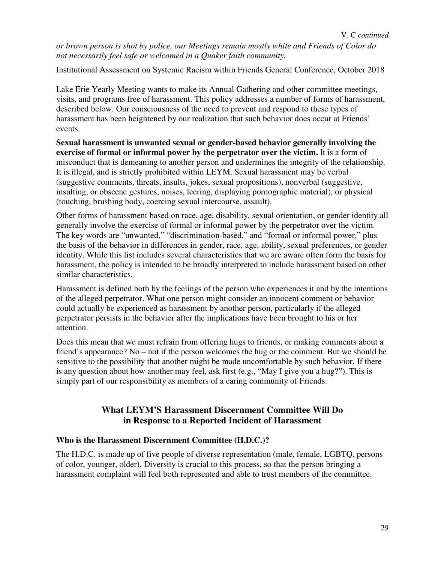*or brown person is shot by police, our Meetings remain mostly white and Friends of Color do not necessarily feel safe or welcomed in a Quaker faith community.* 

Institutional Assessment on Systemic Racism within Friends General Conference, October 2018

Lake Erie Yearly Meeting wants to make its Annual Gathering and other committee meetings, visits, and programs free of harassment. This policy addresses a number of forms of harassment, described below. Our consciousness of the need to prevent and respond to these types of harassment has been heightened by our realization that such behavior does occur at Friends' events.

**Sexual harassment is unwanted sexual or gender-based behavior generally involving the exercise of formal or informal power by the perpetrator over the victim.** It is a form of misconduct that is demeaning to another person and undermines the integrity of the relationship. It is illegal, and is strictly prohibited within LEYM. Sexual harassment may be verbal (suggestive comments, threats, insults, jokes, sexual propositions), nonverbal (suggestive, insulting, or obscene gestures, noises, leering, displaying pornographic material), or physical (touching, brushing body, coercing sexual intercourse, assault).

Other forms of harassment based on race, age, disability, sexual orientation, or gender identity all generally involve the exercise of formal or informal power by the perpetrator over the victim. The key words are "unwanted," "discrimination-based," and "formal or informal power," plus the basis of the behavior in differences in gender, race, age, ability, sexual preferences, or gender identity. While this list includes several characteristics that we are aware often form the basis for harassment, the policy is intended to be broadly interpreted to include harassment based on other similar characteristics.

Harassment is defined both by the feelings of the person who experiences it and by the intentions of the alleged perpetrator. What one person might consider an innocent comment or behavior could actually be experienced as harassment by another person, particularly if the alleged perpetrator persists in the behavior after the implications have been brought to his or her attention.

Does this mean that we must refrain from offering hugs to friends, or making comments about a friend's appearance? No – not if the person welcomes the hug or the comment. But we should be sensitive to the possibility that another might be made uncomfortable by such behavior. If there is any question about how another may feel, ask first (e.g., "May I give you a hug?"). This is simply part of our responsibility as members of a caring community of Friends.

#### **What LEYM'S Harassment Discernment Committee Will Do in Response to a Reported Incident of Harassment**

#### **Who is the Harassment Discernment Committee (H.D.C.)?**

The H.D.C. is made up of five people of diverse representation (male, female, LGBTQ, persons of color, younger, older). Diversity is crucial to this process, so that the person bringing a harassment complaint will feel both represented and able to trust members of the committee.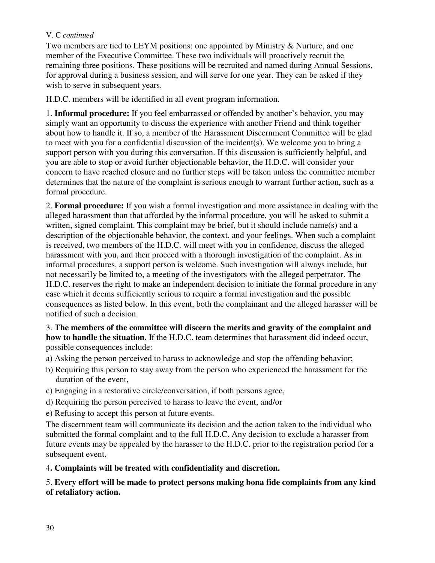#### V. C *continued*

Two members are tied to LEYM positions: one appointed by Ministry & Nurture, and one member of the Executive Committee. These two individuals will proactively recruit the remaining three positions. These positions will be recruited and named during Annual Sessions, for approval during a business session, and will serve for one year. They can be asked if they wish to serve in subsequent years.

H.D.C. members will be identified in all event program information.

1. **Informal procedure:** If you feel embarrassed or offended by another's behavior, you may simply want an opportunity to discuss the experience with another Friend and think together about how to handle it. If so, a member of the Harassment Discernment Committee will be glad to meet with you for a confidential discussion of the incident(s). We welcome you to bring a support person with you during this conversation. If this discussion is sufficiently helpful, and you are able to stop or avoid further objectionable behavior, the H.D.C. will consider your concern to have reached closure and no further steps will be taken unless the committee member determines that the nature of the complaint is serious enough to warrant further action, such as a formal procedure.

2. **Formal procedure:** If you wish a formal investigation and more assistance in dealing with the alleged harassment than that afforded by the informal procedure, you will be asked to submit a written, signed complaint. This complaint may be brief, but it should include name(s) and a description of the objectionable behavior, the context, and your feelings. When such a complaint is received, two members of the H.D.C. will meet with you in confidence, discuss the alleged harassment with you, and then proceed with a thorough investigation of the complaint. As in informal procedures, a support person is welcome. Such investigation will always include, but not necessarily be limited to, a meeting of the investigators with the alleged perpetrator. The H.D.C. reserves the right to make an independent decision to initiate the formal procedure in any case which it deems sufficiently serious to require a formal investigation and the possible consequences as listed below. In this event, both the complainant and the alleged harasser will be notified of such a decision.

3. **The members of the committee will discern the merits and gravity of the complaint and how to handle the situation.** If the H.D.C. team determines that harassment did indeed occur, possible consequences include:

- a) Asking the person perceived to harass to acknowledge and stop the offending behavior;
- b) Requiring this person to stay away from the person who experienced the harassment for the duration of the event,
- c) Engaging in a restorative circle/conversation, if both persons agree,
- d) Requiring the person perceived to harass to leave the event, and/or
- e) Refusing to accept this person at future events.

The discernment team will communicate its decision and the action taken to the individual who submitted the formal complaint and to the full H.D.C. Any decision to exclude a harasser from future events may be appealed by the harasser to the H.D.C. prior to the registration period for a subsequent event.

#### 4**. Complaints will be treated with confidentiality and discretion.**

#### 5. **Every effort will be made to protect persons making bona fide complaints from any kind of retaliatory action.**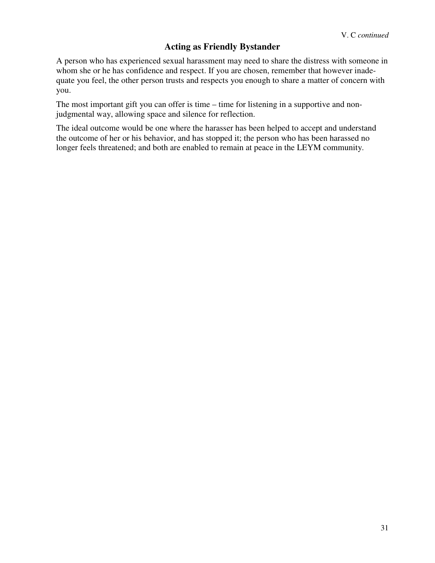### **Acting as Friendly Bystander**

A person who has experienced sexual harassment may need to share the distress with someone in whom she or he has confidence and respect. If you are chosen, remember that however inadequate you feel, the other person trusts and respects you enough to share a matter of concern with you.

The most important gift you can offer is time – time for listening in a supportive and nonjudgmental way, allowing space and silence for reflection.

The ideal outcome would be one where the harasser has been helped to accept and understand the outcome of her or his behavior, and has stopped it; the person who has been harassed no longer feels threatened; and both are enabled to remain at peace in the LEYM community.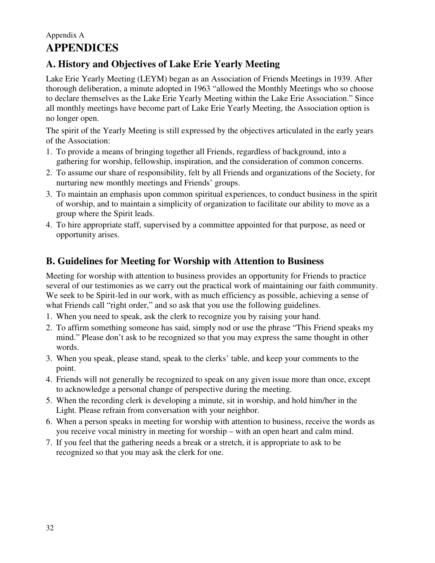# Appendix A **APPENDICES**

# **A. History and Objectives of Lake Erie Yearly Meeting**

Lake Erie Yearly Meeting (LEYM) began as an Association of Friends Meetings in 1939. After thorough deliberation, a minute adopted in 1963 "allowed the Monthly Meetings who so choose to declare themselves as the Lake Erie Yearly Meeting within the Lake Erie Association." Since all monthly meetings have become part of Lake Erie Yearly Meeting, the Association option is no longer open.

The spirit of the Yearly Meeting is still expressed by the objectives articulated in the early years of the Association:

- 1. To provide a means of bringing together all Friends, regardless of background, into a gathering for worship, fellowship, inspiration, and the consideration of common concerns.
- 2. To assume our share of responsibility, felt by all Friends and organizations of the Society, for nurturing new monthly meetings and Friends' groups.
- 3. To maintain an emphasis upon common spiritual experiences, to conduct business in the spirit of worship, and to maintain a simplicity of organization to facilitate our ability to move as a group where the Spirit leads.
- 4. To hire appropriate staff, supervised by a committee appointed for that purpose, as need or opportunity arises.

# **B. Guidelines for Meeting for Worship with Attention to Business**

Meeting for worship with attention to business provides an opportunity for Friends to practice several of our testimonies as we carry out the practical work of maintaining our faith community. We seek to be Spirit-led in our work, with as much efficiency as possible, achieving a sense of what Friends call "right order," and so ask that you use the following guidelines.

- 1. When you need to speak, ask the clerk to recognize you by raising your hand.
- 2. To affirm something someone has said, simply nod or use the phrase "This Friend speaks my mind." Please don't ask to be recognized so that you may express the same thought in other words.
- 3. When you speak, please stand, speak to the clerks' table, and keep your comments to the point.
- 4. Friends will not generally be recognized to speak on any given issue more than once, except to acknowledge a personal change of perspective during the meeting.
- 5. When the recording clerk is developing a minute, sit in worship, and hold him/her in the Light. Please refrain from conversation with your neighbor.
- 6. When a person speaks in meeting for worship with attention to business, receive the words as you receive vocal ministry in meeting for worship – with an open heart and calm mind.
- 7. If you feel that the gathering needs a break or a stretch, it is appropriate to ask to be recognized so that you may ask the clerk for one.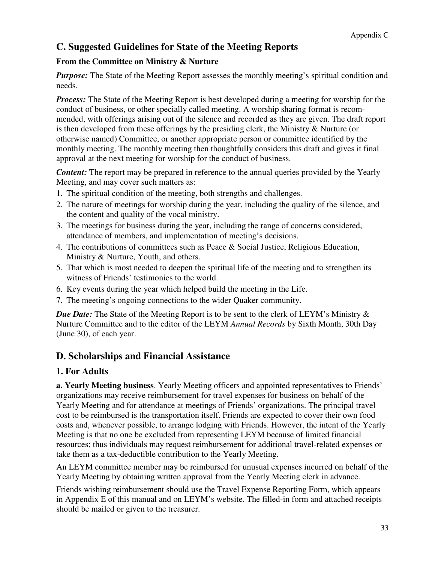### **C. Suggested Guidelines for State of the Meeting Reports**

#### **From the Committee on Ministry & Nurture**

*Purpose:* The State of the Meeting Report assesses the monthly meeting's spiritual condition and needs.

*Process:* The State of the Meeting Report is best developed during a meeting for worship for the conduct of business, or other specially called meeting. A worship sharing format is recommended, with offerings arising out of the silence and recorded as they are given. The draft report is then developed from these offerings by the presiding clerk, the Ministry & Nurture (or otherwise named) Committee, or another appropriate person or committee identified by the monthly meeting. The monthly meeting then thoughtfully considers this draft and gives it final approval at the next meeting for worship for the conduct of business.

*Content:* The report may be prepared in reference to the annual queries provided by the Yearly Meeting, and may cover such matters as:

- 1. The spiritual condition of the meeting, both strengths and challenges.
- 2. The nature of meetings for worship during the year, including the quality of the silence, and the content and quality of the vocal ministry.
- 3. The meetings for business during the year, including the range of concerns considered, attendance of members, and implementation of meeting's decisions.
- 4. The contributions of committees such as Peace & Social Justice, Religious Education, Ministry & Nurture, Youth, and others.
- 5. That which is most needed to deepen the spiritual life of the meeting and to strengthen its witness of Friends' testimonies to the world.
- 6. Key events during the year which helped build the meeting in the Life.
- 7. The meeting's ongoing connections to the wider Quaker community.

*Due Date:* The State of the Meeting Report is to be sent to the clerk of LEYM's Ministry  $\&$ Nurture Committee and to the editor of the LEYM *Annual Records* by Sixth Month, 30th Day (June 30), of each year.

### **D. Scholarships and Financial Assistance**

#### **1. For Adults**

**a. Yearly Meeting business**. Yearly Meeting officers and appointed representatives to Friends' organizations may receive reimbursement for travel expenses for business on behalf of the Yearly Meeting and for attendance at meetings of Friends' organizations. The principal travel cost to be reimbursed is the transportation itself. Friends are expected to cover their own food costs and, whenever possible, to arrange lodging with Friends. However, the intent of the Yearly Meeting is that no one be excluded from representing LEYM because of limited financial resources; thus individuals may request reimbursement for additional travel-related expenses or take them as a tax-deductible contribution to the Yearly Meeting.

An LEYM committee member may be reimbursed for unusual expenses incurred on behalf of the Yearly Meeting by obtaining written approval from the Yearly Meeting clerk in advance.

Friends wishing reimbursement should use the Travel Expense Reporting Form, which appears in Appendix E of this manual and on LEYM's website. The filled-in form and attached receipts should be mailed or given to the treasurer.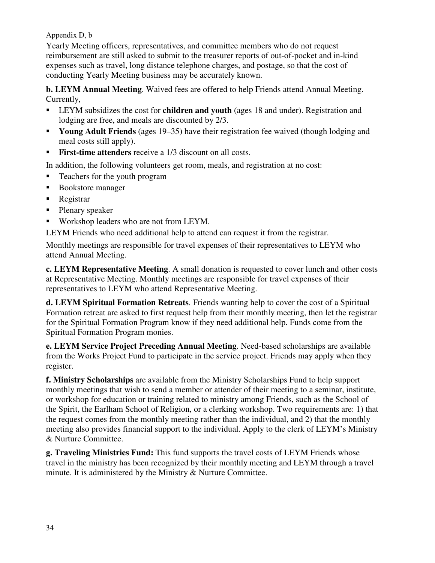Appendix D, b

Yearly Meeting officers, representatives, and committee members who do not request reimbursement are still asked to submit to the treasurer reports of out-of-pocket and in-kind expenses such as travel, long distance telephone charges, and postage, so that the cost of conducting Yearly Meeting business may be accurately known.

**b. LEYM Annual Meeting**. Waived fees are offered to help Friends attend Annual Meeting. Currently,

- LEYM subsidizes the cost for **children and youth** (ages 18 and under). Registration and lodging are free, and meals are discounted by 2/3.
- **Young Adult Friends** (ages 19–35) have their registration fee waived (though lodging and meal costs still apply).
- **First-time attenders** receive a 1/3 discount on all costs.

In addition, the following volunteers get room, meals, and registration at no cost:

- Teachers for the youth program
- Bookstore manager
- Registrar
- Plenary speaker
- **Workshop leaders who are not from LEYM.**

LEYM Friends who need additional help to attend can request it from the registrar.

Monthly meetings are responsible for travel expenses of their representatives to LEYM who attend Annual Meeting.

**c. LEYM Representative Meeting**. A small donation is requested to cover lunch and other costs at Representative Meeting. Monthly meetings are responsible for travel expenses of their representatives to LEYM who attend Representative Meeting.

**d. LEYM Spiritual Formation Retreats**. Friends wanting help to cover the cost of a Spiritual Formation retreat are asked to first request help from their monthly meeting, then let the registrar for the Spiritual Formation Program know if they need additional help. Funds come from the Spiritual Formation Program monies.

**e. LEYM Service Project Preceding Annual Meeting**. Need-based scholarships are available from the Works Project Fund to participate in the service project. Friends may apply when they register.

**f. Ministry Scholarships** are available from the Ministry Scholarships Fund to help support monthly meetings that wish to send a member or attender of their meeting to a seminar, institute, or workshop for education or training related to ministry among Friends, such as the School of the Spirit, the Earlham School of Religion, or a clerking workshop. Two requirements are: 1) that the request comes from the monthly meeting rather than the individual, and 2) that the monthly meeting also provides financial support to the individual. Apply to the clerk of LEYM's Ministry & Nurture Committee.

**g. Traveling Ministries Fund:** This fund supports the travel costs of LEYM Friends whose travel in the ministry has been recognized by their monthly meeting and LEYM through a travel minute. It is administered by the Ministry & Nurture Committee.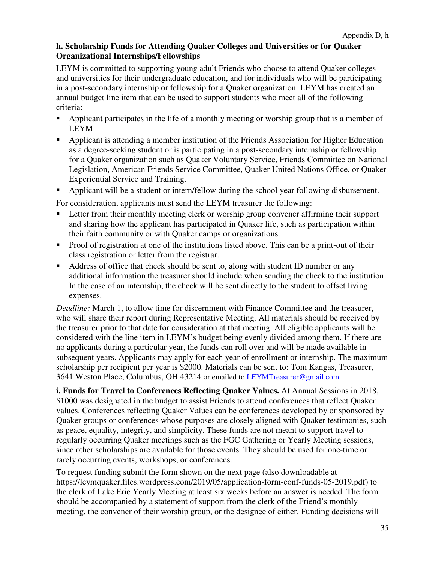#### **h. Scholarship Funds for Attending Quaker Colleges and Universities or for Quaker Organizational Internships/Fellowships**

LEYM is committed to supporting young adult Friends who choose to attend Quaker colleges and universities for their undergraduate education, and for individuals who will be participating in a post-secondary internship or fellowship for a Quaker organization. LEYM has created an annual budget line item that can be used to support students who meet all of the following criteria:

- Applicant participates in the life of a monthly meeting or worship group that is a member of LEYM.
- Applicant is attending a member institution of the Friends Association for Higher Education as a degree-seeking student or is participating in a post-secondary internship or fellowship for a Quaker organization such as Quaker Voluntary Service, Friends Committee on National Legislation, American Friends Service Committee, Quaker United Nations Office, or Quaker Experiential Service and Training.
- Applicant will be a student or intern/fellow during the school year following disbursement.

For consideration, applicants must send the LEYM treasurer the following:

- **EXECUTE:** Letter from their monthly meeting clerk or worship group convener affirming their support and sharing how the applicant has participated in Quaker life, such as participation within their faith community or with Quaker camps or organizations.
- **Proof of registration at one of the institutions listed above. This can be a print-out of their** class registration or letter from the registrar.
- Address of office that check should be sent to, along with student ID number or any additional information the treasurer should include when sending the check to the institution. In the case of an internship, the check will be sent directly to the student to offset living expenses.

*Deadline:* March 1, to allow time for discernment with Finance Committee and the treasurer, who will share their report during Representative Meeting. All materials should be received by the treasurer prior to that date for consideration at that meeting. All eligible applicants will be considered with the line item in LEYM's budget being evenly divided among them. If there are no applicants during a particular year, the funds can roll over and will be made available in subsequent years. Applicants may apply for each year of enrollment or internship. The maximum scholarship per recipient per year is \$2000. Materials can be sent to: Tom Kangas, Treasurer, 3641 Weston Place, Columbus, OH 43214 or emailed to LEYMTreasurer@gmail.com.

**i. Funds for Travel to Conferences Reflecting Quaker Values.** At Annual Sessions in 2018, \$1000 was designated in the budget to assist Friends to attend conferences that reflect Quaker values. Conferences reflecting Quaker Values can be conferences developed by or sponsored by Quaker groups or conferences whose purposes are closely aligned with Quaker testimonies, such as peace, equality, integrity, and simplicity. These funds are not meant to support travel to regularly occurring Quaker meetings such as the FGC Gathering or Yearly Meeting sessions, since other scholarships are available for those events. They should be used for one-time or rarely occurring events, workshops, or conferences.

To request funding submit the form shown on the next page (also downloadable at https://leymquaker.files.wordpress.com/2019/05/application-form-conf-funds-05-2019.pdf) to the clerk of Lake Erie Yearly Meeting at least six weeks before an answer is needed. The form should be accompanied by a statement of support from the clerk of the Friend's monthly meeting, the convener of their worship group, or the designee of either. Funding decisions will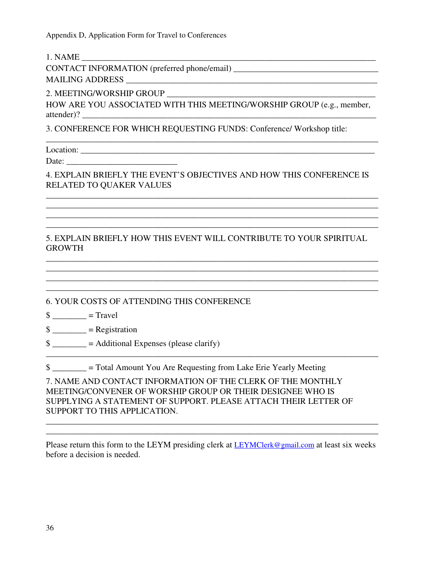Appendix D, Application Form for Travel to Conferences

 $1. NAME$ 

CONTACT INFORMATION (preferred phone/email) \_\_\_\_\_\_\_\_\_\_\_\_\_\_\_\_\_\_\_\_\_\_\_\_\_\_\_\_\_\_\_\_\_\_ MAILING ADDRESS

2. MEETING/WORSHIP GROUP

HOW ARE YOU ASSOCIATED WITH THIS MEETING/WORSHIP GROUP (e.g., member, attender)? \_\_\_\_\_\_\_\_\_\_\_\_\_\_\_\_\_\_\_\_\_\_\_\_\_\_\_\_\_\_\_\_\_\_\_\_\_\_\_\_\_\_\_\_\_\_\_\_\_\_\_\_\_\_\_\_\_\_\_\_\_\_\_\_\_\_\_\_\_

\_\_\_\_\_\_\_\_\_\_\_\_\_\_\_\_\_\_\_\_\_\_\_\_\_\_\_\_\_\_\_\_\_\_\_\_\_\_\_\_\_\_\_\_\_\_\_\_\_\_\_\_\_\_\_\_\_\_\_\_\_\_\_\_\_\_\_\_\_\_\_\_\_\_\_\_\_\_

3. CONFERENCE FOR WHICH REQUESTING FUNDS: Conference/ Workshop title:

Location: \_\_\_\_\_\_\_\_\_\_\_\_\_\_\_\_\_\_\_\_\_\_\_\_\_\_\_\_\_\_\_\_\_\_\_\_\_\_\_\_\_\_\_\_\_\_\_\_\_\_\_\_\_\_\_\_\_\_\_\_\_\_\_\_\_\_\_\_\_

Date:

4. EXPLAIN BRIEFLY THE EVENT'S OBJECTIVES AND HOW THIS CONFERENCE IS RELATED TO QUAKER VALUES

\_\_\_\_\_\_\_\_\_\_\_\_\_\_\_\_\_\_\_\_\_\_\_\_\_\_\_\_\_\_\_\_\_\_\_\_\_\_\_\_\_\_\_\_\_\_\_\_\_\_\_\_\_\_\_\_\_\_\_\_\_\_\_\_\_\_\_\_\_\_\_\_\_\_\_\_\_\_ \_\_\_\_\_\_\_\_\_\_\_\_\_\_\_\_\_\_\_\_\_\_\_\_\_\_\_\_\_\_\_\_\_\_\_\_\_\_\_\_\_\_\_\_\_\_\_\_\_\_\_\_\_\_\_\_\_\_\_\_\_\_\_\_\_\_\_\_\_\_\_\_\_\_\_\_\_\_ \_\_\_\_\_\_\_\_\_\_\_\_\_\_\_\_\_\_\_\_\_\_\_\_\_\_\_\_\_\_\_\_\_\_\_\_\_\_\_\_\_\_\_\_\_\_\_\_\_\_\_\_\_\_\_\_\_\_\_\_\_\_\_\_\_\_\_\_\_\_\_\_\_\_\_\_\_\_ \_\_\_\_\_\_\_\_\_\_\_\_\_\_\_\_\_\_\_\_\_\_\_\_\_\_\_\_\_\_\_\_\_\_\_\_\_\_\_\_\_\_\_\_\_\_\_\_\_\_\_\_\_\_\_\_\_\_\_\_\_\_\_\_\_\_\_\_\_\_\_\_\_\_\_\_\_\_

#### 5. EXPLAIN BRIEFLY HOW THIS EVENT WILL CONTRIBUTE TO YOUR SPIRITUAL **GROWTH**

\_\_\_\_\_\_\_\_\_\_\_\_\_\_\_\_\_\_\_\_\_\_\_\_\_\_\_\_\_\_\_\_\_\_\_\_\_\_\_\_\_\_\_\_\_\_\_\_\_\_\_\_\_\_\_\_\_\_\_\_\_\_\_\_\_\_\_\_\_\_\_\_\_\_\_\_\_\_ \_\_\_\_\_\_\_\_\_\_\_\_\_\_\_\_\_\_\_\_\_\_\_\_\_\_\_\_\_\_\_\_\_\_\_\_\_\_\_\_\_\_\_\_\_\_\_\_\_\_\_\_\_\_\_\_\_\_\_\_\_\_\_\_\_\_\_\_\_\_\_\_\_\_\_\_\_\_ \_\_\_\_\_\_\_\_\_\_\_\_\_\_\_\_\_\_\_\_\_\_\_\_\_\_\_\_\_\_\_\_\_\_\_\_\_\_\_\_\_\_\_\_\_\_\_\_\_\_\_\_\_\_\_\_\_\_\_\_\_\_\_\_\_\_\_\_\_\_\_\_\_\_\_\_\_\_ \_\_\_\_\_\_\_\_\_\_\_\_\_\_\_\_\_\_\_\_\_\_\_\_\_\_\_\_\_\_\_\_\_\_\_\_\_\_\_\_\_\_\_\_\_\_\_\_\_\_\_\_\_\_\_\_\_\_\_\_\_\_\_\_\_\_\_\_\_\_\_\_\_\_\_\_\_\_

\_\_\_\_\_\_\_\_\_\_\_\_\_\_\_\_\_\_\_\_\_\_\_\_\_\_\_\_\_\_\_\_\_\_\_\_\_\_\_\_\_\_\_\_\_\_\_\_\_\_\_\_\_\_\_\_\_\_\_\_\_\_\_\_\_\_\_\_\_\_\_\_\_\_\_\_\_\_

6. YOUR COSTS OF ATTENDING THIS CONFERENCE

 $\text{\$}$  \_\_\_\_\_\_\_\_ = Travel

 $\text{\$}$  = Registration

 $\frac{1}{2}$  = Additional Expenses (please clarify)

\$  $\qquad \qquad =$  Total Amount You Are Requesting from Lake Erie Yearly Meeting

7. NAME AND CONTACT INFORMATION OF THE CLERK OF THE MONTHLY MEETING/CONVENER OF WORSHIP GROUP OR THEIR DESIGNEE WHO IS SUPPLYING A STATEMENT OF SUPPORT. PLEASE ATTACH THEIR LETTER OF SUPPORT TO THIS APPLICATION.

Please return this form to the LEYM presiding clerk at LEYMClerk@gmail.com at least six weeks before a decision is needed.

\_\_\_\_\_\_\_\_\_\_\_\_\_\_\_\_\_\_\_\_\_\_\_\_\_\_\_\_\_\_\_\_\_\_\_\_\_\_\_\_\_\_\_\_\_\_\_\_\_\_\_\_\_\_\_\_\_\_\_\_\_\_\_\_\_\_\_\_\_\_\_\_\_\_\_\_\_\_ \_\_\_\_\_\_\_\_\_\_\_\_\_\_\_\_\_\_\_\_\_\_\_\_\_\_\_\_\_\_\_\_\_\_\_\_\_\_\_\_\_\_\_\_\_\_\_\_\_\_\_\_\_\_\_\_\_\_\_\_\_\_\_\_\_\_\_\_\_\_\_\_\_\_\_\_\_\_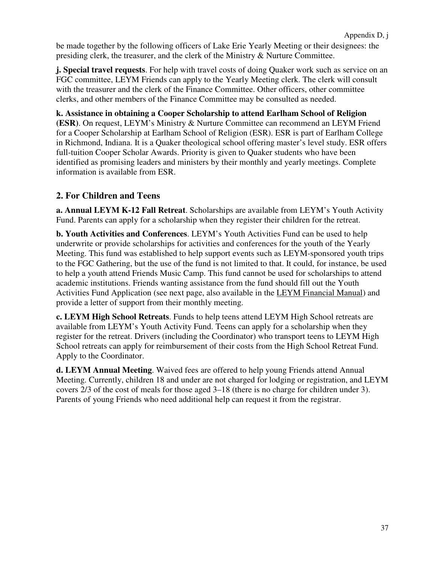be made together by the following officers of Lake Erie Yearly Meeting or their designees: the presiding clerk, the treasurer, and the clerk of the Ministry & Nurture Committee.

**j. Special travel requests**. For help with travel costs of doing Quaker work such as service on an FGC committee, LEYM Friends can apply to the Yearly Meeting clerk. The clerk will consult with the treasurer and the clerk of the Finance Committee. Other officers, other committee clerks, and other members of the Finance Committee may be consulted as needed.

**k. Assistance in obtaining a Cooper Scholarship to attend Earlham School of Religion (ESR)**. On request, LEYM's Ministry & Nurture Committee can recommend an LEYM Friend for a Cooper Scholarship at Earlham School of Religion (ESR). ESR is part of Earlham College in Richmond, Indiana. It is a Quaker theological school offering master's level study. ESR offers full-tuition Cooper Scholar Awards. Priority is given to Quaker students who have been identified as promising leaders and ministers by their monthly and yearly meetings. Complete information is available from ESR.

### **2. For Children and Teens**

**a. Annual LEYM K-12 Fall Retreat**. Scholarships are available from LEYM's Youth Activity Fund. Parents can apply for a scholarship when they register their children for the retreat.

**b. Youth Activities and Conferences**. LEYM's Youth Activities Fund can be used to help underwrite or provide scholarships for activities and conferences for the youth of the Yearly Meeting. This fund was established to help support events such as LEYM-sponsored youth trips to the FGC Gathering, but the use of the fund is not limited to that. It could, for instance, be used to help a youth attend Friends Music Camp. This fund cannot be used for scholarships to attend academic institutions. Friends wanting assistance from the fund should fill out the Youth Activities Fund Application (see next page, also available in the LEYM Financial Manual) and provide a letter of support from their monthly meeting.

**c. LEYM High School Retreats**. Funds to help teens attend LEYM High School retreats are available from LEYM's Youth Activity Fund. Teens can apply for a scholarship when they register for the retreat. Drivers (including the Coordinator) who transport teens to LEYM High School retreats can apply for reimbursement of their costs from the High School Retreat Fund. Apply to the Coordinator.

**d. LEYM Annual Meeting**. Waived fees are offered to help young Friends attend Annual Meeting. Currently, children 18 and under are not charged for lodging or registration, and LEYM covers 2/3 of the cost of meals for those aged 3–18 (there is no charge for children under 3). Parents of young Friends who need additional help can request it from the registrar.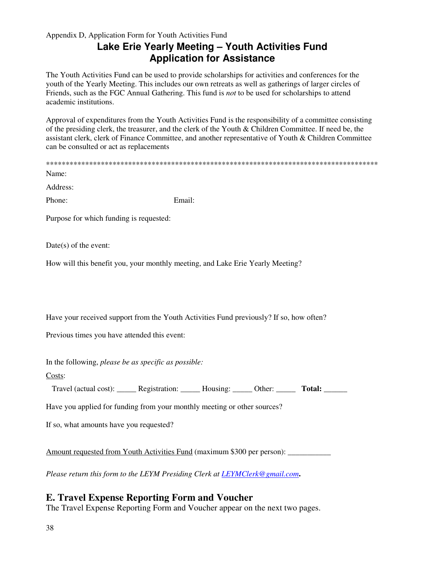#### Appendix D, Application Form for Youth Activities Fund

# **Lake Erie Yearly Meeting – Youth Activities Fund Application for Assistance**

The Youth Activities Fund can be used to provide scholarships for activities and conferences for the youth of the Yearly Meeting. This includes our own retreats as well as gatherings of larger circles of Friends, such as the FGC Annual Gathering. This fund is *not* to be used for scholarships to attend academic institutions.

Approval of expenditures from the Youth Activities Fund is the responsibility of a committee consisting of the presiding clerk, the treasurer, and the clerk of the Youth & Children Committee. If need be, the assistant clerk, clerk of Finance Committee, and another representative of Youth & Children Committee can be consulted or act as replacements

| Name:                                                                          |                                                                                         |  |  |  |
|--------------------------------------------------------------------------------|-----------------------------------------------------------------------------------------|--|--|--|
| Address:                                                                       |                                                                                         |  |  |  |
| Phone:                                                                         | Email:                                                                                  |  |  |  |
| Purpose for which funding is requested:                                        |                                                                                         |  |  |  |
| $Date(s)$ of the event:                                                        |                                                                                         |  |  |  |
| How will this benefit you, your monthly meeting, and Lake Erie Yearly Meeting? |                                                                                         |  |  |  |
|                                                                                |                                                                                         |  |  |  |
|                                                                                | Have your received support from the Youth Activities Fund previously? If so, how often? |  |  |  |
| Previous times you have attended this event:                                   |                                                                                         |  |  |  |
| In the following, please be as specific as possible:                           |                                                                                         |  |  |  |

Costs:

Travel (actual cost): \_\_\_\_\_\_ Registration: \_\_\_\_\_ Housing: \_\_\_\_\_ Other: \_\_\_\_\_ Total: \_\_\_\_\_\_

Have you applied for funding from your monthly meeting or other sources?

If so, what amounts have you requested?

Amount requested from Youth Activities Fund (maximum \$300 per person): \_\_\_\_\_\_\_\_\_\_\_

*Please return this form to the LEYM Presiding Clerk at LEYMClerk@gmail.com***.** 

### **E. Travel Expense Reporting Form and Voucher**

The Travel Expense Reporting Form and Voucher appear on the next two pages.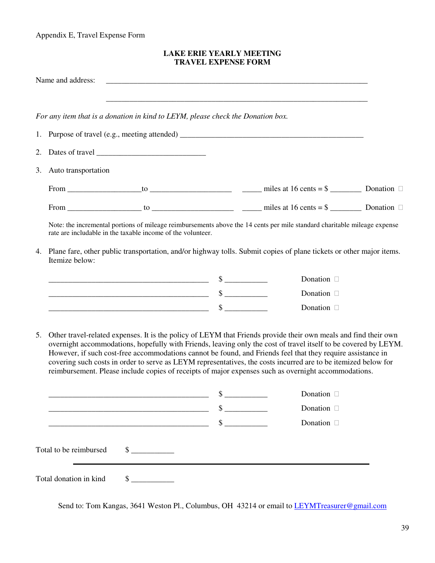Appendix E, Travel Expense Form

#### **LAKE ERIE YEARLY MEETING TRAVEL EXPENSE FORM**

|    | Name and address:                                                               |                                                                                                                                                                                                                                                                                                                                                                                                                                                                                                                                                                             |                             |                                                                                                                          |  |
|----|---------------------------------------------------------------------------------|-----------------------------------------------------------------------------------------------------------------------------------------------------------------------------------------------------------------------------------------------------------------------------------------------------------------------------------------------------------------------------------------------------------------------------------------------------------------------------------------------------------------------------------------------------------------------------|-----------------------------|--------------------------------------------------------------------------------------------------------------------------|--|
|    | For any item that is a donation in kind to LEYM, please check the Donation box. |                                                                                                                                                                                                                                                                                                                                                                                                                                                                                                                                                                             |                             |                                                                                                                          |  |
|    |                                                                                 |                                                                                                                                                                                                                                                                                                                                                                                                                                                                                                                                                                             |                             |                                                                                                                          |  |
| 2. |                                                                                 |                                                                                                                                                                                                                                                                                                                                                                                                                                                                                                                                                                             |                             |                                                                                                                          |  |
| 3. | Auto transportation                                                             |                                                                                                                                                                                                                                                                                                                                                                                                                                                                                                                                                                             |                             |                                                                                                                          |  |
|    |                                                                                 |                                                                                                                                                                                                                                                                                                                                                                                                                                                                                                                                                                             |                             |                                                                                                                          |  |
|    |                                                                                 |                                                                                                                                                                                                                                                                                                                                                                                                                                                                                                                                                                             |                             |                                                                                                                          |  |
|    | rate are includable in the taxable income of the volunteer.                     |                                                                                                                                                                                                                                                                                                                                                                                                                                                                                                                                                                             |                             | Note: the incremental portions of mileage reimbursements above the 14 cents per mile standard charitable mileage expense |  |
|    | Itemize below:                                                                  | 4. Plane fare, other public transportation, and/or highway tolls. Submit copies of plane tickets or other major items.                                                                                                                                                                                                                                                                                                                                                                                                                                                      |                             |                                                                                                                          |  |
|    |                                                                                 |                                                                                                                                                                                                                                                                                                                                                                                                                                                                                                                                                                             |                             | Donation                                                                                                                 |  |
|    |                                                                                 |                                                                                                                                                                                                                                                                                                                                                                                                                                                                                                                                                                             |                             | Donation                                                                                                                 |  |
|    |                                                                                 |                                                                                                                                                                                                                                                                                                                                                                                                                                                                                                                                                                             |                             | Donation                                                                                                                 |  |
| 5. |                                                                                 | Other travel-related expenses. It is the policy of LEYM that Friends provide their own meals and find their own<br>overnight accommodations, hopefully with Friends, leaving only the cost of travel itself to be covered by LEYM.<br>However, if such cost-free accommodations cannot be found, and Friends feel that they require assistance in<br>covering such costs in order to serve as LEYM representatives, the costs incurred are to be itemized below for<br>reimbursement. Please include copies of receipts of major expenses such as overnight accommodations. |                             |                                                                                                                          |  |
|    |                                                                                 |                                                                                                                                                                                                                                                                                                                                                                                                                                                                                                                                                                             | \$                          | Donation                                                                                                                 |  |
|    |                                                                                 |                                                                                                                                                                                                                                                                                                                                                                                                                                                                                                                                                                             | $\sim$                      | Donation                                                                                                                 |  |
|    |                                                                                 |                                                                                                                                                                                                                                                                                                                                                                                                                                                                                                                                                                             | $\frac{\text{S}}{\text{S}}$ | Donation                                                                                                                 |  |
|    | Total to be reimbursed                                                          | $\frac{\text{S}}{\text{S}}$                                                                                                                                                                                                                                                                                                                                                                                                                                                                                                                                                 |                             |                                                                                                                          |  |
|    | Total donation in kind                                                          | $\frac{\text{S}}{\text{S}}$                                                                                                                                                                                                                                                                                                                                                                                                                                                                                                                                                 |                             |                                                                                                                          |  |

Send to: Tom Kangas, 3641 Weston Pl., Columbus, OH 43214 or email to LEYMTreasurer@gmail.com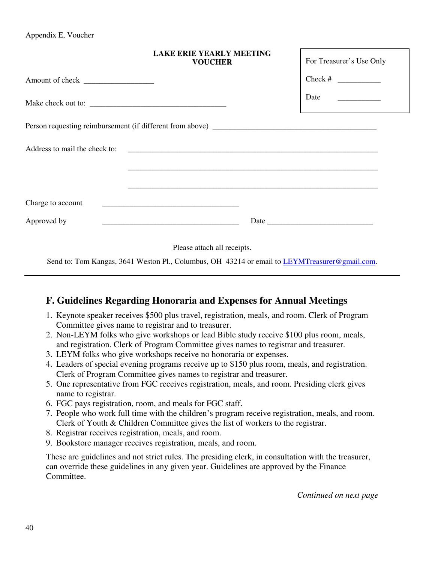Appendix E, Voucher

|             | <b>LAKE ERIE YEARLY MEETING</b><br><b>VOUCHER</b>    | For Treasurer's Use Only                                                                                                                           |
|-------------|------------------------------------------------------|----------------------------------------------------------------------------------------------------------------------------------------------------|
|             |                                                      | Check # $\frac{1}{2}$                                                                                                                              |
|             |                                                      | Date $\qquad \qquad \qquad$<br><u> 1989 - Jan Sterling von Berger von Berger von Berger von Berger von Berger von Berger von Berger von Berger</u> |
|             |                                                      |                                                                                                                                                    |
|             |                                                      |                                                                                                                                                    |
|             |                                                      |                                                                                                                                                    |
|             | <u> 1989 - Jan Barnett, fransk politik (d. 1989)</u> |                                                                                                                                                    |
| Approved by |                                                      |                                                                                                                                                    |
|             | Please attach all receipts.                          |                                                                                                                                                    |

Send to: Tom Kangas, 3641 Weston Pl., Columbus, OH 43214 or email to LEYMTreasurer@gmail.com.

### **F. Guidelines Regarding Honoraria and Expenses for Annual Meetings**

- 1. Keynote speaker receives \$500 plus travel, registration, meals, and room. Clerk of Program Committee gives name to registrar and to treasurer.
- 2. Non-LEYM folks who give workshops or lead Bible study receive \$100 plus room, meals, and registration. Clerk of Program Committee gives names to registrar and treasurer.
- 3. LEYM folks who give workshops receive no honoraria or expenses.
- 4. Leaders of special evening programs receive up to \$150 plus room, meals, and registration. Clerk of Program Committee gives names to registrar and treasurer.
- 5. One representative from FGC receives registration, meals, and room. Presiding clerk gives name to registrar.
- 6. FGC pays registration, room, and meals for FGC staff.
- 7. People who work full time with the children's program receive registration, meals, and room. Clerk of Youth & Children Committee gives the list of workers to the registrar.
- 8. Registrar receives registration, meals, and room.
- 9. Bookstore manager receives registration, meals, and room.

These are guidelines and not strict rules. The presiding clerk, in consultation with the treasurer, can override these guidelines in any given year. Guidelines are approved by the Finance Committee.

*Continued on next page*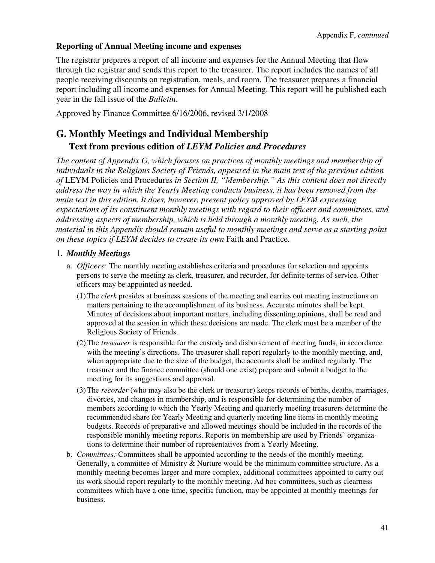#### **Reporting of Annual Meeting income and expenses**

The registrar prepares a report of all income and expenses for the Annual Meeting that flow through the registrar and sends this report to the treasurer. The report includes the names of all people receiving discounts on registration, meals, and room. The treasurer prepares a financial report including all income and expenses for Annual Meeting. This report will be published each year in the fall issue of the *Bulletin*.

Approved by Finance Committee 6/16/2006, revised 3/1/2008

# **G. Monthly Meetings and Individual Membership Text from previous edition of** *LEYM Policies and Procedures*

*The content of Appendix G, which focuses on practices of monthly meetings and membership of individuals in the Religious Society of Friends, appeared in the main text of the previous edition of* LEYM Policies and Procedures *in Section II, "Membership." As this content does not directly address the way in which the Yearly Meeting conducts business, it has been removed from the main text in this edition. It does, however, present policy approved by LEYM expressing expectations of its constituent monthly meetings with regard to their officers and committees, and addressing aspects of membership, which is held through a monthly meeting. As such, the material in this Appendix should remain useful to monthly meetings and serve as a starting point on these topics if LEYM decides to create its own* Faith and Practice*.* 

#### 1. *Monthly Meetings*

- a. *Officers:* The monthly meeting establishes criteria and procedures for selection and appoints persons to serve the meeting as clerk, treasurer, and recorder, for definite terms of service. Other officers may be appointed as needed.
	- (1) The *clerk* presides at business sessions of the meeting and carries out meeting instructions on matters pertaining to the accomplishment of its business. Accurate minutes shall be kept. Minutes of decisions about important matters, including dissenting opinions, shall be read and approved at the session in which these decisions are made. The clerk must be a member of the Religious Society of Friends.
	- (2) The *treasurer* is responsible for the custody and disbursement of meeting funds, in accordance with the meeting's directions. The treasurer shall report regularly to the monthly meeting, and, when appropriate due to the size of the budget, the accounts shall be audited regularly. The treasurer and the finance committee (should one exist) prepare and submit a budget to the meeting for its suggestions and approval.
	- (3) The *recorder* (who may also be the clerk or treasurer) keeps records of births, deaths, marriages, divorces, and changes in membership, and is responsible for determining the number of members according to which the Yearly Meeting and quarterly meeting treasurers determine the recommended share for Yearly Meeting and quarterly meeting line items in monthly meeting budgets. Records of preparative and allowed meetings should be included in the records of the responsible monthly meeting reports. Reports on membership are used by Friends' organizations to determine their number of representatives from a Yearly Meeting.
- b. *Committees:* Committees shall be appointed according to the needs of the monthly meeting. Generally, a committee of Ministry & Nurture would be the minimum committee structure. As a monthly meeting becomes larger and more complex, additional committees appointed to carry out its work should report regularly to the monthly meeting. Ad hoc committees, such as clearness committees which have a one-time, specific function, may be appointed at monthly meetings for business.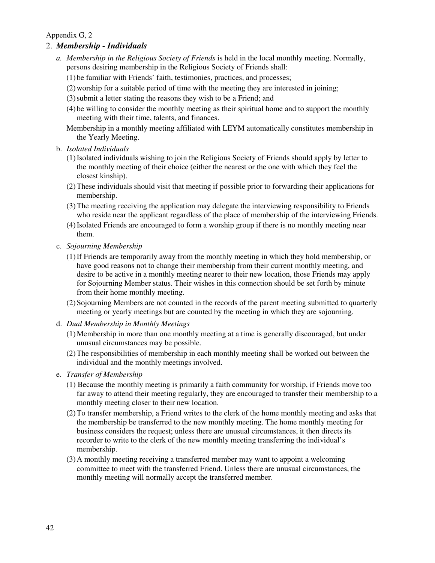#### Appendix G, 2

#### 2. *Membership - Individuals*

- *a. Membership in the Religious Society of Friends* is held in the local monthly meeting. Normally, persons desiring membership in the Religious Society of Friends shall:
	- (1) be familiar with Friends' faith, testimonies, practices, and processes;
	- (2) worship for a suitable period of time with the meeting they are interested in joining;
	- (3) submit a letter stating the reasons they wish to be a Friend; and
	- (4) be willing to consider the monthly meeting as their spiritual home and to support the monthly meeting with their time, talents, and finances.
	- Membership in a monthly meeting affiliated with LEYM automatically constitutes membership in the Yearly Meeting.
- b. *Isolated Individuals* 
	- (1) Isolated individuals wishing to join the Religious Society of Friends should apply by letter to the monthly meeting of their choice (either the nearest or the one with which they feel the closest kinship).
	- (2) These individuals should visit that meeting if possible prior to forwarding their applications for membership.
	- (3) The meeting receiving the application may delegate the interviewing responsibility to Friends who reside near the applicant regardless of the place of membership of the interviewing Friends.
	- (4) Isolated Friends are encouraged to form a worship group if there is no monthly meeting near them.
- c. *Sojourning Membership*
	- (1) If Friends are temporarily away from the monthly meeting in which they hold membership, or have good reasons not to change their membership from their current monthly meeting, and desire to be active in a monthly meeting nearer to their new location, those Friends may apply for Sojourning Member status. Their wishes in this connection should be set forth by minute from their home monthly meeting.
	- (2) Sojourning Members are not counted in the records of the parent meeting submitted to quarterly meeting or yearly meetings but are counted by the meeting in which they are sojourning.
- d. *Dual Membership in Monthly Meetings*
	- (1) Membership in more than one monthly meeting at a time is generally discouraged, but under unusual circumstances may be possible.
	- (2) The responsibilities of membership in each monthly meeting shall be worked out between the individual and the monthly meetings involved.
- e. *Transfer of Membership*
	- (1) Because the monthly meeting is primarily a faith community for worship, if Friends move too far away to attend their meeting regularly, they are encouraged to transfer their membership to a monthly meeting closer to their new location.
	- (2) To transfer membership, a Friend writes to the clerk of the home monthly meeting and asks that the membership be transferred to the new monthly meeting. The home monthly meeting for business considers the request; unless there are unusual circumstances, it then directs its recorder to write to the clerk of the new monthly meeting transferring the individual's membership.
	- (3) A monthly meeting receiving a transferred member may want to appoint a welcoming committee to meet with the transferred Friend. Unless there are unusual circumstances, the monthly meeting will normally accept the transferred member.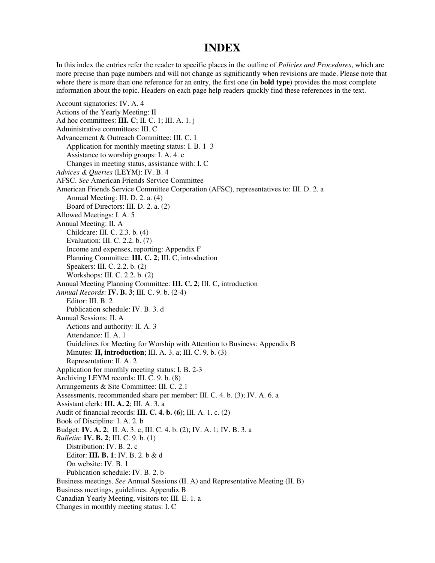#### **INDEX**

In this index the entries refer the reader to specific places in the outline of *Policies and Procedures*, which are more precise than page numbers and will not change as significantly when revisions are made. Please note that where there is more than one reference for an entry, the first one (in **bold type**) provides the most complete information about the topic. Headers on each page help readers quickly find these references in the text.

Account signatories: IV. A. 4 Actions of the Yearly Meeting: II Ad hoc committees: **III. C**; II. C. 1; III. A. 1. j Administrative committees: III. C Advancement & Outreach Committee: III. C. 1 Application for monthly meeting status: I. B. 1–3 Assistance to worship groups: I. A. 4. c Changes in meeting status, assistance with: I. C *Advices & Queries* (LEYM): IV. B. 4 AFSC. *See* American Friends Service Committee American Friends Service Committee Corporation (AFSC), representatives to: III. D. 2. a Annual Meeting: III. D. 2. a. (4) Board of Directors: III. D. 2. a. (2) Allowed Meetings: I. A. 5 Annual Meeting: II. A Childcare: III. C. 2.3. b. (4) Evaluation: III. C. 2.2. b. (7) Income and expenses, reporting: Appendix F Planning Committee: **III. C. 2**; III. C, introduction Speakers: III. C. 2.2. b. (2) Workshops: III. C. 2.2. b. (2) Annual Meeting Planning Committee: **III. C. 2**; III. C, introduction *Annual Records*: **IV. B. 3**; III. C. 9. b. (2-4) Editor: III. B. 2 Publication schedule: IV. B. 3. d Annual Sessions: II. A Actions and authority: II. A. 3 Attendance: II. A. 1 Guidelines for Meeting for Worship with Attention to Business: Appendix B Minutes: **II, introduction**; III. A. 3. a; III. C. 9. b. (3) Representation: II. A. 2 Application for monthly meeting status: I. B. 2-3 Archiving LEYM records: III. C. 9. b. (8) Arrangements & Site Committee: III. C. 2.1 Assessments, recommended share per member: III. C. 4. b. (3); IV. A. 6. a Assistant clerk: **III. A. 2**; III. A. 3. a Audit of financial records: **III. C. 4. b. (6)**; III. A. 1. c. (2) Book of Discipline: I. A. 2. b Budget: **IV. A. 2**; II. A. 3. c; III. C. 4. b. (2); IV. A. 1; IV. B. 3. a *Bulletin*: **IV. B. 2**; III. C. 9. b. (1) Distribution: IV. B. 2. c Editor: **III. B. 1**; IV. B. 2. b & d On website: IV. B. 1 Publication schedule: IV. B. 2. b Business meetings. *See* Annual Sessions (II. A) and Representative Meeting (II. B) Business meetings, guidelines: Appendix B Canadian Yearly Meeting, visitors to: III. E. 1. a Changes in monthly meeting status: I. C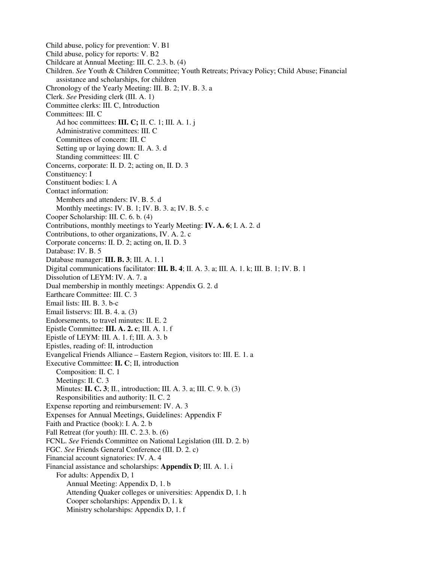Child abuse, policy for prevention: V. B1 Child abuse, policy for reports: V. B2 Childcare at Annual Meeting: III. C. 2.3. b. (4) Children. *See* Youth & Children Committee; Youth Retreats; Privacy Policy; Child Abuse; Financial assistance and scholarships, for children Chronology of the Yearly Meeting: III. B. 2; IV. B. 3. a Clerk. *See* Presiding clerk (III. A. 1) Committee clerks: III. C, Introduction Committees: III. C Ad hoc committees: **III. C;** II. C. 1; III. A. 1. j Administrative committees: III. C Committees of concern: III. C Setting up or laying down: II. A. 3. d Standing committees: III. C Concerns, corporate: II. D. 2; acting on, II. D. 3 Constituency: I Constituent bodies: I. A Contact information: Members and attenders: IV. B. 5. d Monthly meetings: IV. B. 1; IV. B. 3. a; IV. B. 5. c Cooper Scholarship: III. C. 6. b. (4) Contributions, monthly meetings to Yearly Meeting: **IV. A. 6**; I. A. 2. d Contributions, to other organizations, IV. A. 2. c Corporate concerns: II. D. 2; acting on, II. D. 3 Database: IV. B. 5 Database manager: **III. B. 3**; III. A. 1. l Digital communications facilitator: **III. B. 4**; II. A. 3. a; III. A. 1. k; III. B. 1; IV. B. 1 Dissolution of LEYM: IV. A. 7. a Dual membership in monthly meetings: Appendix G. 2. d Earthcare Committee: III. C. 3 Email lists: III. B. 3. b-c Email listservs: III. B. 4. a. (3) Endorsements, to travel minutes: II. E. 2 Epistle Committee: **III. A. 2. c**; III. A. 1. f Epistle of LEYM: III. A. 1. f; III. A. 3. b Epistles, reading of: II, introduction Evangelical Friends Alliance – Eastern Region, visitors to: III. E. 1. a Executive Committee: **II. C**; II, introduction Composition: II. C. 1 Meetings: II. C. 3 Minutes: **II. C. 3**; II., introduction; III. A. 3. a; III. C. 9. b. (3) Responsibilities and authority: II. C. 2 Expense reporting and reimbursement: IV. A. 3 Expenses for Annual Meetings, Guidelines: Appendix F Faith and Practice (book): I. A. 2. b Fall Retreat (for youth): III. C. 2.3. b. (6) FCNL. *See* Friends Committee on National Legislation (III. D. 2. b) FGC. *See* Friends General Conference (III. D. 2. c) Financial account signatories: IV. A. 4 Financial assistance and scholarships: **Appendix D**; III. A. 1. i For adults: Appendix D, 1 Annual Meeting: Appendix D, 1. b Attending Quaker colleges or universities: Appendix D, 1. h Cooper scholarships: Appendix D, 1. k Ministry scholarships: Appendix D, 1. f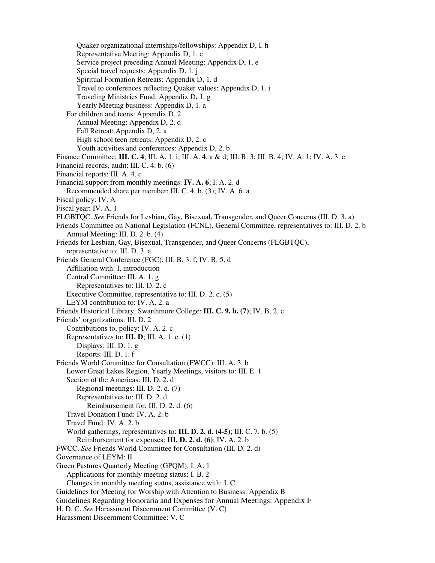Quaker organizational internships/fellowships: Appendix D, I. h Representative Meeting: Appendix D, 1. c Service project preceding Annual Meeting: Appendix D, 1. e Special travel requests: Appendix D, 1. j Spiritual Formation Retreats: Appendix D, 1. d Travel to conferences reflecting Quaker values: Appendix D, 1. i Traveling Ministries Fund: Appendix D, 1. g Yearly Meeting business: Appendix D, 1. a For children and teens: Appendix D, 2 Annual Meeting: Appendix D, 2. d Fall Retreat: Appendix D, 2. a High school teen retreats: Appendix D, 2. c Youth activities and conferences: Appendix D, 2. b Finance Committee: **III. C. 4**; III. A. 1. i; III. A. 4. a & d; III. B. 3; III. B. 4; IV. A. 1; IV. A. 3. c Financial records, audit: III. C. 4. b. (6) Financial reports: III. A. 4. c Financial support from monthly meetings: **IV. A. 6**; I. A. 2. d Recommended share per member: III. C. 4. b. (3); IV. A. 6. a Fiscal policy: IV. A Fiscal year: IV. A. 1 FLGBTQC. *See* Friends for Lesbian, Gay, Bisexual, Transgender, and Queer Concerns (III. D. 3. a) Friends Committee on National Legislation (FCNL), General Committee, representatives to: III. D. 2. b Annual Meeting: III. D. 2. b. (4) Friends for Lesbian, Gay, Bisexual, Transgender, and Queer Concerns (FLGBTQC), representative to: III. D. 3. a Friends General Conference (FGC): III. B. 3. f; IV. B. 5. d Affiliation with: I, introduction Central Committee: III. A. 1. g Representatives to: III. D. 2. c Executive Committee, representative to: III. D. 2. c. (5) LEYM contribution to: IV. A. 2. a Friends Historical Library, Swarthmore College: **III. C. 9. b. (7)**; IV. B. 2. c Friends' organizations: III. D. 2 Contributions to, policy: IV. A. 2. c Representatives to: **III. D**; III. A. 1. c. (1) Displays: III. D. 1. g Reports: III. D. 1. f Friends World Committee for Consultation (FWCC): III. A. 3. b Lower Great Lakes Region, Yearly Meetings, visitors to: III. E. 1 Section of the Americas: III. D. 2. d Regional meetings: III. D. 2. d. (7) Representatives to: III. D. 2. d Reimbursement for: III. D. 2. d. (6) Travel Donation Fund: IV. A. 2. b Travel Fund: IV. A. 2. b World gatherings, representatives to: **III. D. 2. d. (4-5)**; III. C. 7. b. (5) Reimbursement for expenses: **III. D. 2. d. (6)**; IV. A. 2. b FWCC. *See* Friends World Committee for Consultation (III. D. 2. d) Governance of LEYM: II Green Pastures Quarterly Meeting (GPQM): I. A. 1 Applications for monthly meeting status: I. B. 2 Changes in monthly meeting status, assistance with: I. C Guidelines for Meeting for Worship with Attention to Business: Appendix B Guidelines Regarding Honoraria and Expenses for Annual Meetings: Appendix F H. D. C. *See* Harassment Discernment Committee (V. C) Harassment Discernment Committee: V. C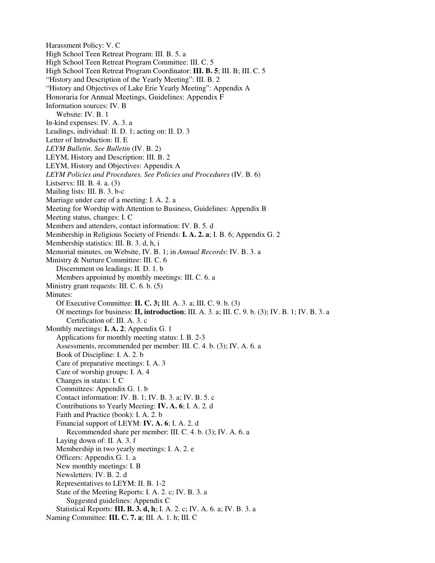Harassment Policy: V. C High School Teen Retreat Program: III. B. 5. a High School Teen Retreat Program Committee: III. C. 5 High School Teen Retreat Program Coordinator: **III. B. 5**; III. B; III. C. 5 "History and Description of the Yearly Meeting": III. B. 2 "History and Objectives of Lake Erie Yearly Meeting": Appendix A Honoraria for Annual Meetings, Guidelines: Appendix F Information sources: IV. B Website: IV. B. 1 In-kind expenses: IV. A. 3. a Leadings, individual: II. D. 1; acting on: II. D. 3 Letter of Introduction: II. E *LEYM Bulletin*. *See Bulletin* (IV. B. 2) LEYM, History and Description: III. B. 2 LEYM, History and Objectives: Appendix A *LEYM Policies and Procedures. See Policies and Procedures* (IV. B. 6) Listservs: III. B. 4. a. (3) Mailing lists: III. B. 3. b-c Marriage under care of a meeting: I. A. 2. a Meeting for Worship with Attention to Business, Guidelines: Appendix B Meeting status, changes: I. C Members and attenders, contact information: IV. B. 5. d Membership in Religious Society of Friends: **I. A. 2. a**; I. B. 6; Appendix G. 2 Membership statistics: III. B. 3. d, h, i Memorial minutes, on Website, IV. B. 1; in *Annual Records*: IV. B. 3. a Ministry & Nurture Committee: III. C. 6 Discernment on leadings: II. D. 1. b Members appointed by monthly meetings: III. C. 6. a Ministry grant requests: III. C. 6. b. (5) Minutes: Of Executive Committee: **II. C. 3;** III. A. 3. a; III. C. 9. b. (3) Of meetings for business: **II, introduction**; III. A. 3. a; III. C. 9. b. (3); IV. B. 1; IV. B. 3. a Certification of: III. A. 3. c Monthly meetings: **I. A. 2**; Appendix G. 1 Applications for monthly meeting status: I. B. 2-3 Assessments, recommended per member: III. C. 4. b. (3); IV. A. 6. a Book of Discipline: I. A. 2. b Care of preparative meetings: I. A. 3 Care of worship groups: I. A. 4 Changes in status: I. C Committees: Appendix G. 1. b Contact information: IV. B. 1; IV. B. 3. a; IV. B. 5. c Contributions to Yearly Meeting: **IV. A. 6**; I. A. 2. d Faith and Practice (book): I. A. 2. b Financial support of LEYM: **IV. A. 6**; I. A. 2. d Recommended share per member: III. C. 4. b. (3); IV. A. 6. a Laying down of: II. A. 3. f Membership in two yearly meetings: I. A. 2. e Officers: Appendix G. 1. a New monthly meetings: I. B Newsletters: IV. B. 2. d Representatives to LEYM: II. B. 1-2 State of the Meeting Reports: I. A. 2. c; IV. B. 3. a Suggested guidelines: Appendix C Statistical Reports: **III. B. 3. d, h**; I. A. 2. c; IV. A. 6. a; IV. B. 3. a Naming Committee: **III. C. 7. a**; III. A. 1. h; III. C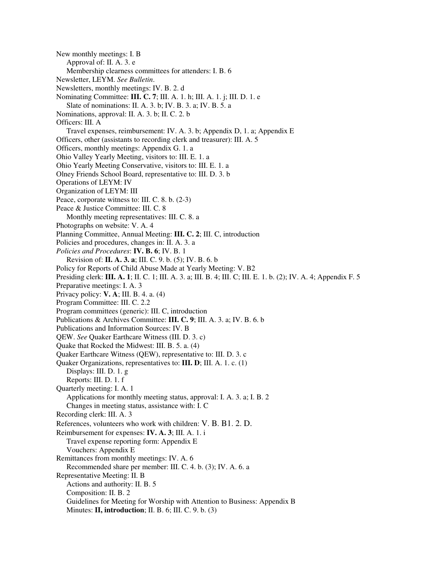New monthly meetings: I. B Approval of: II. A. 3. e Membership clearness committees for attenders: I. B. 6 Newsletter, LEYM. *See Bulletin*. Newsletters, monthly meetings: IV. B. 2. d Nominating Committee: **III. C. 7**; III. A. 1. h; III. A. 1. j; III. D. 1. e Slate of nominations: II. A. 3. b; IV. B. 3. a; IV. B. 5. a Nominations, approval: II. A. 3. b; II. C. 2. b Officers: III. A Travel expenses, reimbursement: IV. A. 3. b; Appendix D, 1. a; Appendix E Officers, other (assistants to recording clerk and treasurer): III. A. 5 Officers, monthly meetings: Appendix G. 1. a Ohio Valley Yearly Meeting, visitors to: III. E. 1. a Ohio Yearly Meeting Conservative, visitors to: III. E. 1. a Olney Friends School Board, representative to: III. D. 3. b Operations of LEYM: IV Organization of LEYM: III Peace, corporate witness to: III. C. 8. b. (2-3) Peace & Justice Committee: III. C. 8 Monthly meeting representatives: III. C. 8. a Photographs on website: V. A. 4 Planning Committee, Annual Meeting: **III. C. 2**; III. C, introduction Policies and procedures, changes in: II. A. 3. a *Policies and Procedures*: **IV. B. 6**; IV. B. 1 Revision of: **II. A. 3. a**; III. C. 9. b. (5); IV. B. 6. b Policy for Reports of Child Abuse Made at Yearly Meeting: V. B2 Presiding clerk: **III. A. 1**; II. C. 1; III. A. 3. a; III. B. 4; III. C; III. E. 1. b. (2); IV. A. 4; Appendix F. 5 Preparative meetings: I. A. 3 Privacy policy: **V. A**; III. B. 4. a. (4) Program Committee: III. C. 2.2 Program committees (generic): III. C, introduction Publications & Archives Committee: **III. C. 9**; III. A. 3. a; IV. B. 6. b Publications and Information Sources: IV. B QEW. *See* Quaker Earthcare Witness (III. D. 3. c) Quake that Rocked the Midwest: III. B. 5. a. (4) Quaker Earthcare Witness (QEW), representative to: III. D. 3. c Quaker Organizations, representatives to: **III. D**; III. A. 1. c. (1) Displays: III. D. 1. g Reports: III. D. 1. f Quarterly meeting: I. A. 1 Applications for monthly meeting status, approval: I. A. 3. a; I. B. 2 Changes in meeting status, assistance with: I. C Recording clerk: III. A. 3 References, volunteers who work with children: V. B. B1. 2. D. Reimbursement for expenses: **IV. A. 3**; III. A. 1. i Travel expense reporting form: Appendix E Vouchers: Appendix E Remittances from monthly meetings: IV. A. 6 Recommended share per member: III. C. 4. b. (3); IV. A. 6. a Representative Meeting: II. B Actions and authority: II. B. 5 Composition: II. B. 2 Guidelines for Meeting for Worship with Attention to Business: Appendix B Minutes: **II, introduction**; II. B. 6; III. C. 9. b. (3)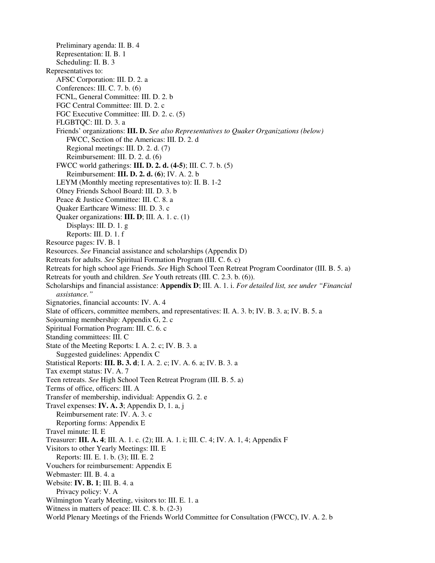Preliminary agenda: II. B. 4 Representation: II. B. 1 Scheduling: II. B. 3 Representatives to: AFSC Corporation: III. D. 2. a Conferences: III. C. 7. b. (6) FCNL, General Committee: III. D. 2. b FGC Central Committee: III. D. 2. c FGC Executive Committee: III. D. 2. c. (5) FLGBTQC: III. D. 3. a Friends' organizations: **III. D.** *See also Representatives to Quaker Organizations (below)* FWCC, Section of the Americas: III. D. 2. d Regional meetings: III. D. 2. d. (7) Reimbursement: III. D. 2. d. (6) FWCC world gatherings: **III. D. 2. d. (4-5)**; III. C. 7. b. (5) Reimbursement: **III. D. 2. d. (6)**; IV. A. 2. b LEYM (Monthly meeting representatives to): II. B. 1-2 Olney Friends School Board: III. D. 3. b Peace & Justice Committee: III. C. 8. a Quaker Earthcare Witness: III. D. 3. c Quaker organizations: **III. D**; III. A. 1. c. (1) Displays: III. D. 1. g Reports: III. D. 1. f Resource pages: IV. B. 1 Resources. *See* Financial assistance and scholarships (Appendix D) Retreats for adults. *See* Spiritual Formation Program (III. C. 6. c) Retreats for high school age Friends. *See* High School Teen Retreat Program Coordinator (III. B. 5. a) Retreats for youth and children. *See* Youth retreats (III. C. 2.3. b. (6)). Scholarships and financial assistance: **Appendix D**; III. A. 1. i. *For detailed list, see under "Financial assistance."* Signatories, financial accounts: IV. A. 4 Slate of officers, committee members, and representatives: II. A. 3. b; IV. B. 3. a; IV. B. 5. a Sojourning membership: Appendix G, 2. c Spiritual Formation Program: III. C. 6. c Standing committees: III. C State of the Meeting Reports: I. A. 2. c; IV. B. 3. a Suggested guidelines: Appendix C Statistical Reports: **III. B. 3. d**; I. A. 2. c; IV. A. 6. a; IV. B. 3. a Tax exempt status: IV. A. 7 Teen retreats. *See* High School Teen Retreat Program (III. B. 5. a) Terms of office, officers: III. A Transfer of membership, individual: Appendix G. 2. e Travel expenses: **IV. A. 3**; Appendix D, 1. a, j Reimbursement rate: IV. A. 3. c Reporting forms: Appendix E Travel minute: II. E Treasurer: **III. A. 4**; III. A. 1. c. (2); III. A. 1. i; III. C. 4; IV. A. 1, 4; Appendix F Visitors to other Yearly Meetings: III. E Reports: III. E. 1. b. (3); III. E. 2 Vouchers for reimbursement: Appendix E Webmaster: III. B. 4. a Website: **IV. B. 1**; III. B. 4. a Privacy policy: V. A Wilmington Yearly Meeting, visitors to: III. E. 1. a Witness in matters of peace: III. C. 8. b. (2-3) World Plenary Meetings of the Friends World Committee for Consultation (FWCC), IV. A. 2. b